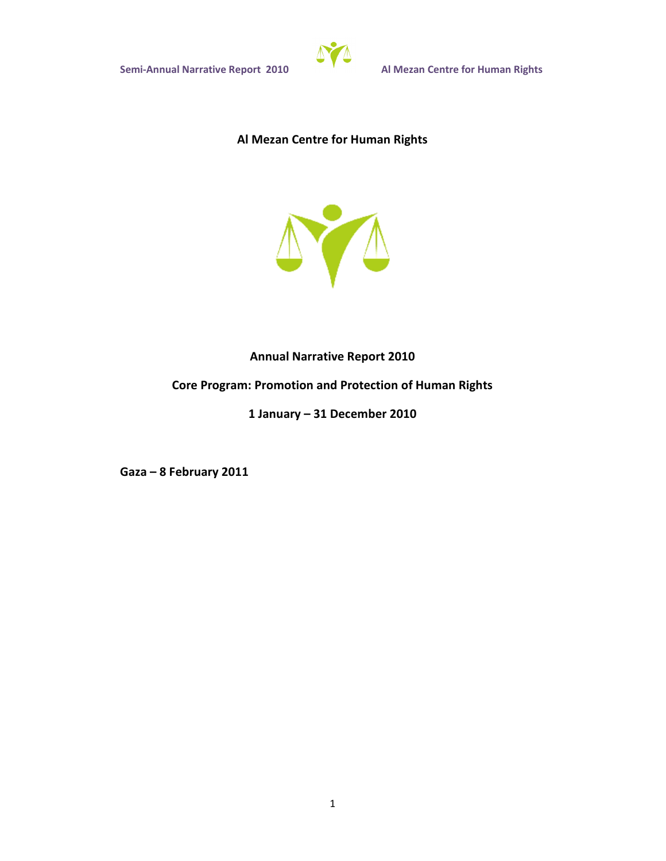

# **Al Mezan Centre for Human Rights**



# **Annual Narrative Report 2010**

# **Core Program: Promotion and Protection of Human Rights**

# **1 January – 31 December 2010**

**Gaza – 8 February 2011**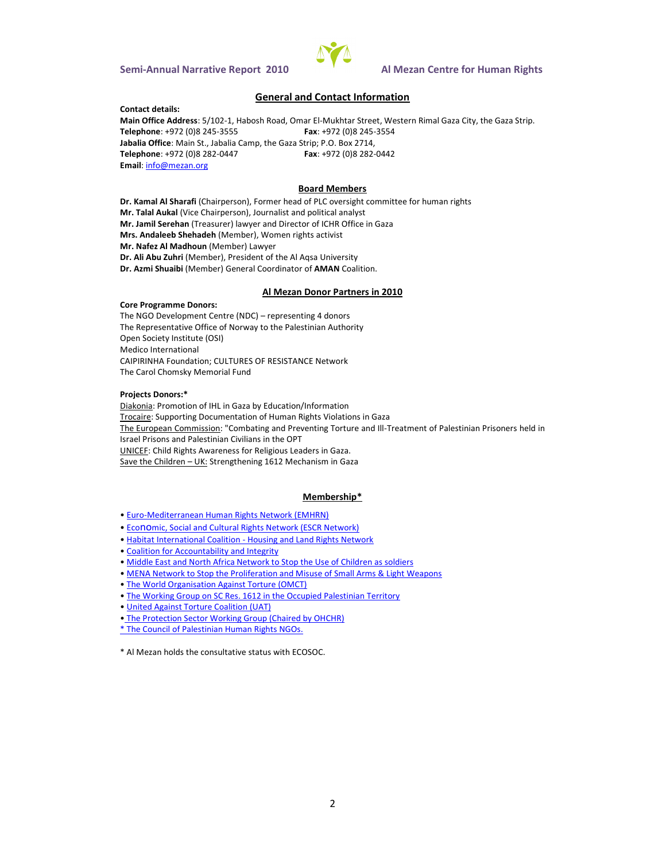### General and Contact Information

Contact details: Main Office : A 51 dh @ 2 th abosh Road, U @ mtar Street, Western Rimal Gaza City, the G Telephone 072 (0-38552545 Fax +972 (0-3852445 Jabalia OMade St., Jabalia Camp, the Gaza Strip; P.O. Box 2714, Telephone 972 (0-084 4278 2 Fax + 972 (2-084 4228 Emainfo@mezan.org

#### Board Members

Dr. Kamal Al (Schaairopfeirson), Former head of PLC oversight committee for human Mr. Talal (Awikal Chairperson), Journalist and political analyst Mr. Jamelh SME reas ulmewryer and Director of ICHR Office in Gaza Mrs. Andaleeb SMembert, Women rights activist Mr. Nafez Al MMedimobuerr) Lawyer Dr. Ali Ab (MZeumhber), President of the Al Aqsa University Dr. Azmi SiMueamibi General Cootomul'i MAN oalition

Al Mezan Donor Partners in 2010

Core Programme Donors: The NGO Development  $C$ enterseenting  $(1 + 1)$  donors The Representative Office of Norway to the Palestinian Authority Open Society Institute (OSI) Medico International CAPIRINHA Fo: COLULATIURES OF RESISTANCE Network The Carol Chomsky Memorial Fund

Projects Donors: \* DiakonPaomotion of IHL in Gaza by Education/Information Trocai6eupporting Documentation of Human Rights Violations in Gaza The European Commonission in a and Prevent-Timograft on the order Podallel stinian Prisoners he Israel Prisons and Palestinian Civilians in the OPT UNICEGFhild Rights Awareness for Religious Leaders in Gaza. Save the CHUKSInterengthening 1612 Mazaanism in

### Membership\*

"EurMediterranean Human Rights Network (EMHRN)

"Ecomic, Social and Cultural Rights Network (ESCR Network)

"Habitat Internation al Cosing ita on Land Rights Network

"Coalition for Accountability and Integrity

"Middle East and Norohk Atfori Saobetthe Use of Children as soldiers

"MENA Network to Stop the Proliferation and Misuse of Small Arms & Light Weap

"The World Organisation Against Torture (OMCT)

"The Working Group on SC Res. 1612 in the Occupied Palestinian Territory

"United Against Torture Coalition (UAT)

"The Protection Sector Working Group (Chaired by OHCHR)

\*The Council of Palestinian Human Rights NGOs.

 $*$  Al Mehzoalnothe consulstratitive ENO to NSOC.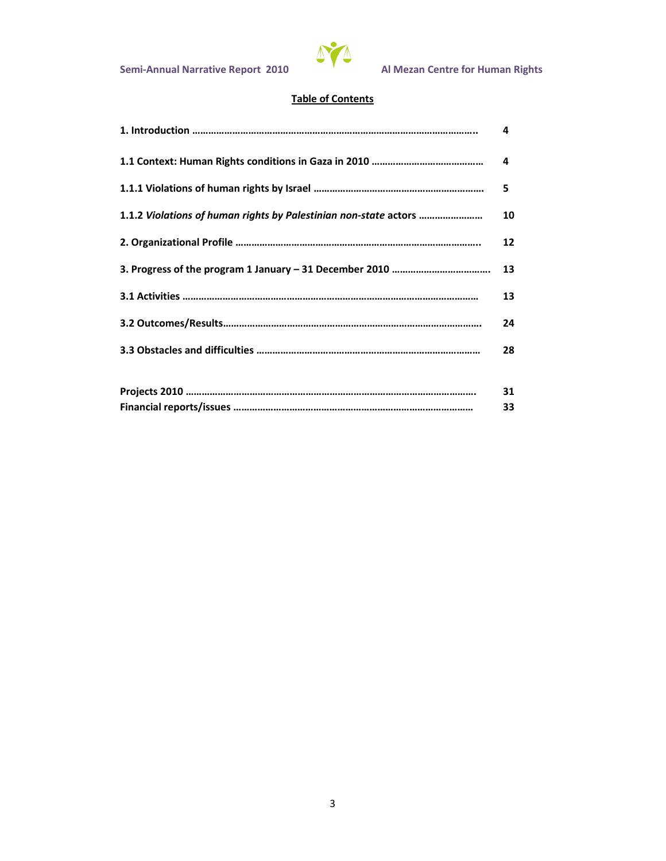

# **Table of Contents**

|                                                                  | 4  |  |  |  |  |  |
|------------------------------------------------------------------|----|--|--|--|--|--|
|                                                                  | 4  |  |  |  |  |  |
|                                                                  | 5  |  |  |  |  |  |
| 1.1.2 Violations of human rights by Palestinian non-state actors |    |  |  |  |  |  |
|                                                                  | 12 |  |  |  |  |  |
|                                                                  | 13 |  |  |  |  |  |
|                                                                  | 13 |  |  |  |  |  |
|                                                                  | 24 |  |  |  |  |  |
|                                                                  | 28 |  |  |  |  |  |
|                                                                  |    |  |  |  |  |  |
|                                                                  | 31 |  |  |  |  |  |
|                                                                  | 33 |  |  |  |  |  |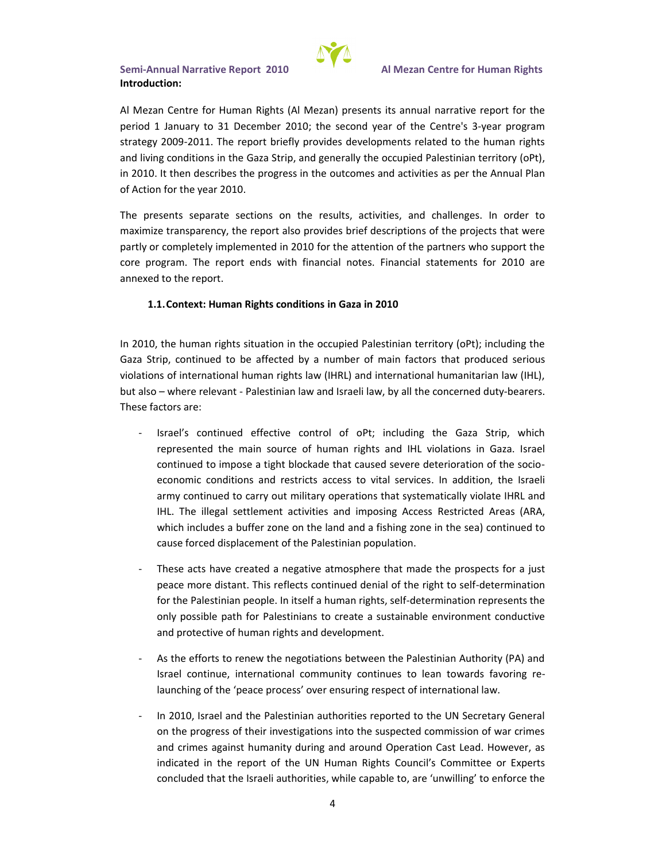

Al Mezan Centre for Human Rights (Al Mezan) presents its annual narrative report for the period 1 January to 31 December 2010; the second year of the Centre's 3-year program strategy 2009-2011. The report briefly provides developments related to the human rights and living conditions in the Gaza Strip, and generally the occupied Palestinian territory (oPt), in 2010. It then describes the progress in the outcomes and activities as per the Annual Plan of Action for the year 2010.

The presents separate sections on the results, activities, and challenges. In order to maximize transparency, the report also provides brief descriptions of the projects that were partly or completely implemented in 2010 for the attention of the partners who support the core program. The report ends with financial notes. Financial statements for 2010 are annexed to the report.

## **1.1.Context: Human Rights conditions in Gaza in 2010**

In 2010, the human rights situation in the occupied Palestinian territory (oPt); including the Gaza Strip, continued to be affected by a number of main factors that produced serious violations of international human rights law (IHRL) and international humanitarian law (IHL), but also – where relevant - Palestinian law and Israeli law, by all the concerned duty-bearers. These factors are:

- Israel's continued effective control of oPt; including the Gaza Strip, which represented the main source of human rights and IHL violations in Gaza. Israel continued to impose a tight blockade that caused severe deterioration of the socioeconomic conditions and restricts access to vital services. In addition, the Israeli army continued to carry out military operations that systematically violate IHRL and IHL. The illegal settlement activities and imposing Access Restricted Areas (ARA, which includes a buffer zone on the land and a fishing zone in the sea) continued to cause forced displacement of the Palestinian population.
- These acts have created a negative atmosphere that made the prospects for a just peace more distant. This reflects continued denial of the right to self-determination for the Palestinian people. In itself a human rights, self-determination represents the only possible path for Palestinians to create a sustainable environment conductive and protective of human rights and development.
- As the efforts to renew the negotiations between the Palestinian Authority (PA) and Israel continue, international community continues to lean towards favoring relaunching of the 'peace process' over ensuring respect of international law.
- In 2010, Israel and the Palestinian authorities reported to the UN Secretary General on the progress of their investigations into the suspected commission of war crimes and crimes against humanity during and around Operation Cast Lead. However, as indicated in the report of the UN Human Rights Council's Committee or Experts concluded that the Israeli authorities, while capable to, are 'unwilling' to enforce the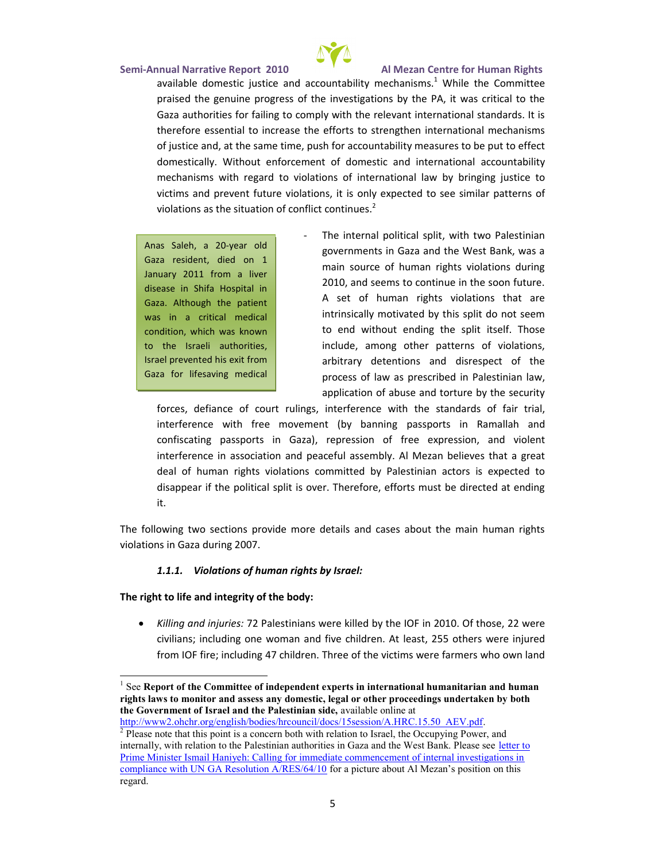SemAinnual Narrativ 260 ROE port Al Mezan Centre for Human Rights availadbolen esituistice and acconuenctheabhi $\frac{1}{2}$  StM whisile the Committee praised the genuine progress of the investigations by the Gaza authorities for failing to comply with the relevant international standard standards. Gaza standards. In thereforent $\dot{\mathbf{a}}$  as the crease theo strengthen international mechanisms to  $\mathbf{a}$ of jusatincole, at the sapmashtifmore, accountability measures to be p domestic Mailtyhout enforcement of domestiaccoanudntian bile inthyational  $m$  echanisms wolth ovied path of his internationabl rilmanowal biovestice to victims op revent under altions , only expected to see similar patterns of  $\alpha$ violations assituation of conflict continues.

Anas Saleh,-year 20 Gaza resident, d January 2011 fro disease in Shifa Gaza. Although t was in a critical condition, which to the Israeli a Israel prevented Gaza fo $s$  a viifreg medical treatment. The contract of the contract of the contract of the contract of the contract of the contract of the contract of the contract of the contract of the contract of the contract of the contract of the contract of the

- The internal poliwiid altswooli Palestinian goverenm ts in Gaza and the West Bank, main source of human rights violation  $2010$ , and seems to continue in the soc A set of human rights violations th intrinsically motivated by this split do to end without endintosethe Tshpoliste includemong other patterns of violati arbitrary destemention disrespect of the process of law as prescribed in Palest application of abuse and torture by the

forc, ecse fiance of courth teruliengs  $c$ e wsittahn dataredfsaiof trial, interference with free movempeanstsp(binytsbRaammanibanh and confiscating passports primessGoafzrae) befox pressidony iolent interferenas sochiation ea nud fassem AblMezan believes that a gre deal of human rights violations committed by Palestinian disappear if the phis lot is all therefore, efforts must be directed at  $\alpha$ it.

The follot working ction provind bere details and cases about the main human rights violations in Gaza during 2007.

1.1.1. Violations of human rights by Israel:

The right at nodliif retegrity of the body

ð· Killing and 7**aPaless**tinians were killed by the 2200 Frein 2010. O civilians; inclew dinnagn fainvoethildrenlea As 2155others were injured from IOF fire;417cobiluddrinen. The victime is a wee rs who own land

 $1$ Se $\mathbf R$ eport of the Committee of independent experts in international hur rights laws to monitoam and to masseiscs, legal or other proceedings undertaken the Government of Israel and tanea Plabelstion ibimesiadte,

 $http://www2.ohcłsh./dragdėens/lhircouncil/docs/15session/A.HRC.15.50_AEV.$  $\sqrt[2]{P}$  Please note that this point is a concern both with relation to Israel, the internally, with relation to the Palestinian authorities time Gaza and the Prime Minister Ismail Haniyeh: Calling for immediate commencement of compliance with UN GA Resolfiontion  $\partial f$  ( $\partial R$ ) and  $\partial f$  and  $\partial f$  are  $\partial f$  about  $\partial f$ regard.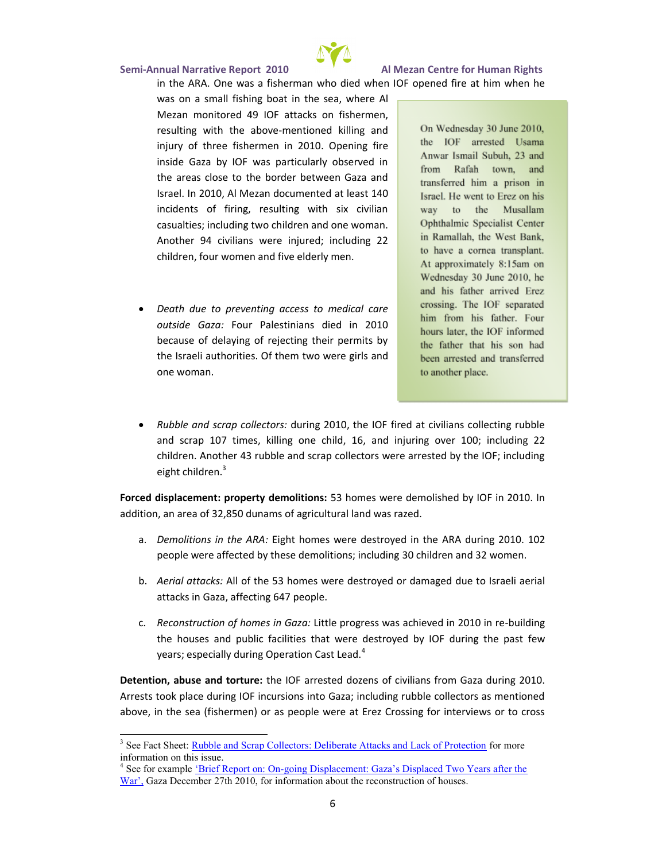

in the ARA. One was a fisherman who died when IOF opened fire at him when he was on a small fishing boat in the sea, where Al Mezan monitored 49 IOF attacks on fishermen, resulting with the above-mentioned killing and injury of three fishermen in 2010. Opening fire inside Gaza by IOF was particularly observed in the areas close to the border between Gaza and Israel. In 2010, Al Mezan documented at least 140 incidents of firing, resulting with six civilian casualties; including two children and one woman. Another 94 civilians were injured; including 22 children, four women and five elderly men.

 *Death due to preventing access to medical care outside Gaza:* Four Palestinians died in 2010 because of delaying of rejecting their permits by the Israeli authorities. Of them two were girls and one woman.

On Wednesday 30 June 2010, the IOF arrested Usama Anwar Ismail Subuh, 23 and from Rafah town, and transferred him a prison in Israel. He went to Erez on his way to the Musallam Ophthalmic Specialist Center in Ramallah, the West Bank, to have a cornea transplant. At approximately 8:15am on Wednesday 30 June 2010, he and his father arrived Erez crossing. The IOF separated him from his father. Four hours later, the IOF informed the father that his son had been arrested and transferred to another place.

 *Rubble and scrap collectors:* during 2010, the IOF fired at civilians collecting rubble and scrap 107 times, killing one child, 16, and injuring over 100; including 22 children. Another 43 rubble and scrap collectors were arrested by the IOF; including eight children.<sup>3</sup>

**Forced displacement: property demolitions:** 53 homes were demolished by IOF in 2010. In addition, an area of 32,850 dunams of agricultural land was razed.

- a. *Demolitions in the ARA:* Eight homes were destroyed in the ARA during 2010. 102 people were affected by these demolitions; including 30 children and 32 women.
- b. *Aerial attacks:* All of the 53 homes were destroyed or damaged due to Israeli aerial attacks in Gaza, affecting 647 people.
- c. *Reconstruction of homes in Gaza:* Little progress was achieved in 2010 in re-building the houses and public facilities that were destroyed by IOF during the past few years; especially during Operation Cast Lead.<sup>4</sup>

**Detention, abuse and torture:** the IOF arrested dozens of civilians from Gaza during 2010. Arrests took place during IOF incursions into Gaza; including rubble collectors as mentioned above, in the sea (fishermen) or as people were at Erez Crossing for interviews or to cross

<sup>&</sup>lt;sup>3</sup> See Fact Sheet: **Rubble and Scrap Collectors: Deliberate Attacks and Lack of Protection** for more information on this issue.

<sup>&</sup>lt;sup>4</sup> See for example <u>'Brief Report on: On-going Displacement: Gaza's Displaced Two Years after the</u> War', Gaza December 27th 2010, for information about the reconstruction of houses.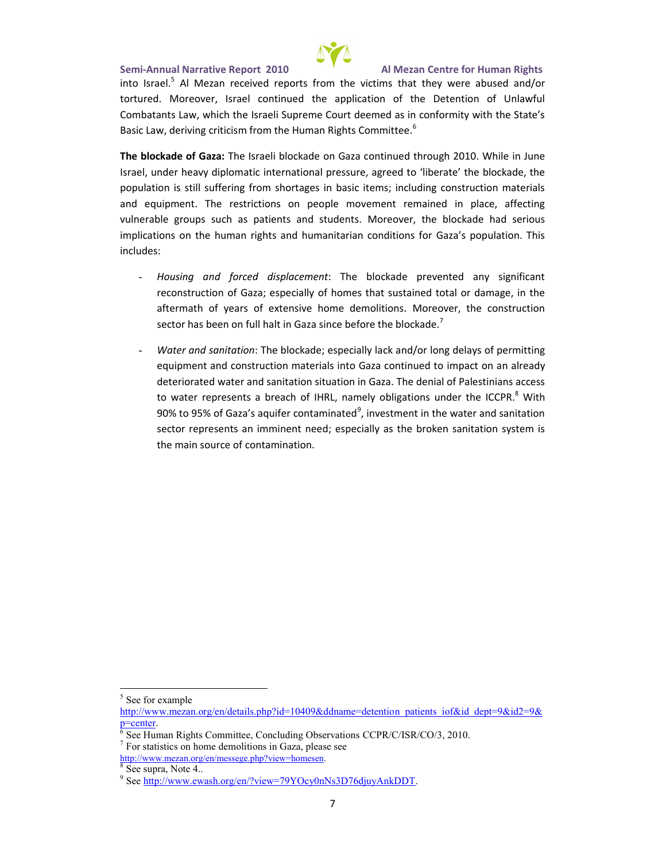Sem-Ainnual Narrativ2e0 ROeport Al Mezan Centre for Human Rights into Is<sup>5</sup>rAalelMezan received reports t**hractm thtehye wearteimas**bused and/o torture dotoreover, Israel continued the application of the Detention of  $\mathbf{C}$ Combatant which the Israeli Supreme Court deemed as in conform Basic Law, deriving criticism from the Human Rights Committee.

The block Schez Funte Israeli blockade on Gaza coW thin inne bunden through 20 Israel, under heaviynt**el**implaotmicantiad pressu**riebe aragintee old cteaa**, dthe population is still suffering from shortages in basic items; incl andequipmenthe restrictions on people movement remained in vulnerable guobpas patients a Mobretowoderents. Iockade had serious implications on the human rights and humanitarian conditions f includes:

- Housinagnd forced displacement in the prevented any signi reconstruction of G and G and a construction of  $\alpha$  and  $\alpha$  and the sustained total or aftermath of years of extensiveM chroenoveed, enthole it construction sector has been on full in cheapte from Gatta the blockade.
- Water and sa $\overline{\mathbf{m}}$  blockade; eskpecida/low lace delays of permitting and  $\mathbf{m}$ equipment and construction materialism pratoriale axist exact onlinued to deteriorwatated rand sasnitulaatticom in het adazanial of Palestinians acc to wa**te**presenbtrse aa offiHRL, namely nosblui**g a**leir th<sup>8</sup>eWli**C**CPR.  $90\%$  to  $95\%$  of Gaza s aq $\frac{9}{4}$ ifiewe $\frac{3}{4}$  and water and sanitation  $\frac{9}{4}$ sector represents an imespine enally ead the broken sanitation the main source of contamination.

http://www.meg/aen/messege.php?view=homesen  $8$ See supra, Note 4..

<sup>5</sup>See for example

[http://www.mezan.org](http://www.mezan.org/en/details.php)/en/details.php?ird=pla0t409&ddoba&rid=depdnBi&id2=9&id2=9&id2=9&id2=9&id2=9&id2=9&id2=9&id2=9&id2=9&id2=9&id2=9&id2=9&id2=9&id2=9&id2=9&id2=9&id2=9&id2=9&id2=9&id2=9&id2=9&id2=9&id2=9&id2=9&id2=9&id2=  $p = c$  enter

 $\frac{6}{6}$  See Human Rights Committee, CoChQCPuRd/iQidgl SOFto/sQQ20011/Q&tions

<sup>7</sup>For statistics on home demolitions in Gaza, please see

<sup>&</sup>lt;sup>9</sup> Sebettp://www.ewash.org<u>/en/?view=79YOcy</u>0nNs3D76djuyAnkDDT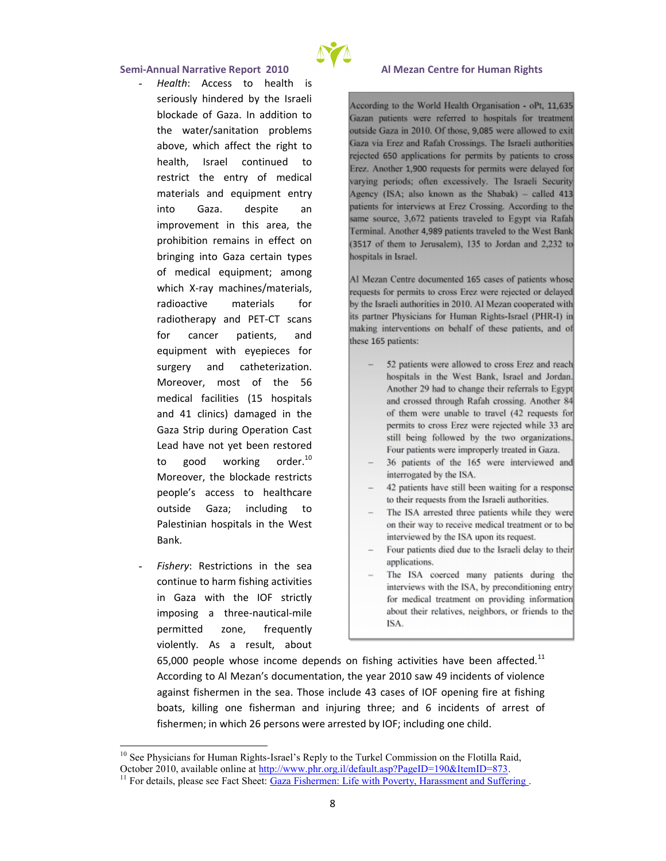- Health Ccess to health is seriously hindered by the blockade of nGaddition t the water/sanitation  $p$ above, which h**a**ffreight to health, srae tontinued to restrict the emterglical  $m$  aterials equal  $m$  enterproper mentent into Gazadespitan improvementisinar tha e prohibition remains in bringing into Gaza cert of medical equainponoment  $\overline{\phantom{a}}$ whicX-ray machines/mate radioactive materials radiotherapy -**&nd seans** for cancer patients, equipment with egrepie surgerand catheterizat Moreovergstm of the  $5$ medical facilities (15 and  $41$  clinics) damage Gaza Strip during Oper Lead have not yet been to good workin $d^0$  or  $M$ oreovtehre, blockade res  $p$ eople s  $q$  access the tagre he outside Gaza; includ Palestinian hospitals in Bank.
- Fisher Rey strictions in the continue to harm fishind in  $G$ aza with the IOF imposing a-nathutemeaile permitted zone, fred violently. As  $a$ aboresult,



65,000 people whose income depends on fishi $h^1$ g activities According to Al Mezan s documentation, the year 2010 saw against fishermen in the sea. Those include 43 cases of IC boatkilling fone ermannd injuring three; and 6 incidents of fishermen; in which 26 persons were arrested by IOF; incluc

 $^{10}$ See Physicians for -Hsuran eaRnespRliyghtos the CoTmunnkiesIsion on the, Flotilla Raid October 2010, availatble / bm www.phr.org.il/default.asp?PageID=190&ItemI  $11$ F[or details, plea](http://www.ewash.org/en/)se GaeaFacth&hmeth: Life with Poverty, Harassment an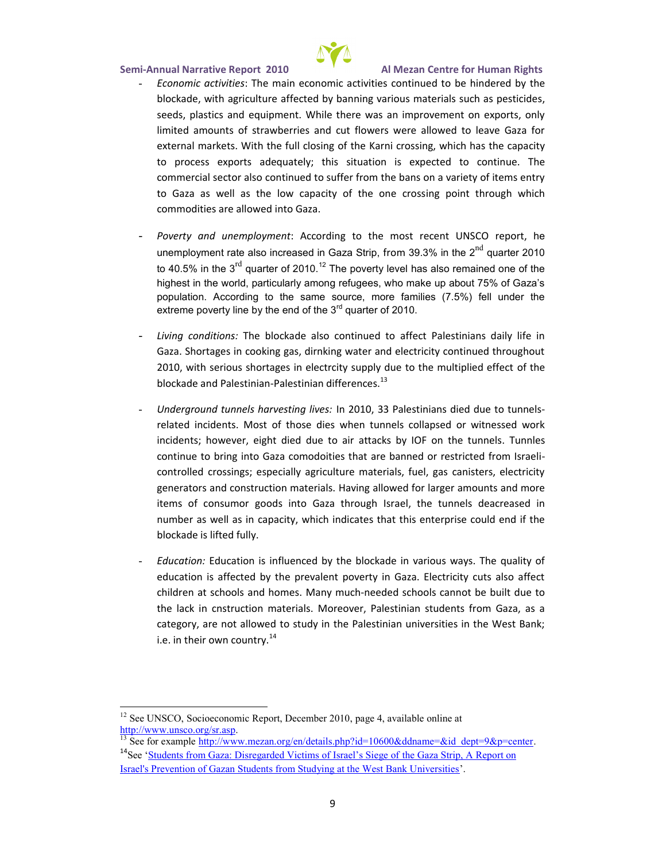- Economic a: $\bar{c}$ The itime as in economic activities shinds determined by the he blockade, with a  $6e$  coted tubre bad nning various materials such as seeds, plastics and equipment. While there was an improve limited amounts of strawberries and cut flowers were allo external markets. With the foll alrocions in the index the capacity of the  $\mathbf c$ to process eaxolpe-oquate-hig situation is expecteTdheto continu commercial sector also continued to suffer from the bans or to Gaza as well as the low capancoity pooint the one only brow heish commodities are allowed into Gaza.
- Poverty and une:mApdocymodeining to the most recente UNSCO re unemployment rate also increas for  $\sin 3\theta$  . G  $\sin 3\theta$   $\cos 2\theta$  ter 2010 to 40.5% in  $^{\mathsf{d}}$  qhuear3er of  $^{\mathsf{d}}$ 2TO hildpoverty level has also remained one of highest in the world, particularly among refugees, who make up a population. According to the same source, more families (7.59 extreme poverty line by  $f$  he untum to  $20$  the  $3$
- Living conditibonbslockade also continued to affect Palestini Gaza. Shortages in cooking gas, dirnking water and electric 2010, with serious shortages in electrcity sumpfplyhedue to th blockade and PPadesstinian differences.
- Underground tunnels hlann (2e0st 8Paleis trians died due to tunnels related incidents. Most of those dies when tunnels collap  $incid$ enhos weveeghdtied doueaitrattacks by IOF on Tunhnele sunnels continue to bring into Gaza comodoities that are banned or controlled crossings; especially agriculture materials, fuel generators and constru<del>ld</del>aivoim gmantleonwiaelds.for larger amounts ar items of consumor goods intsora Getahzea tunharmoneulogh deacreased in number as well as in capacity, which indicates that this er blockade is lifted fully.
- EducatEodnu: cation lui**s** nioned by the blockade in various ways. T education is affected by the prevalent poverty in Gaza. El children at schools Many momes bested schools cannot be built d the lack in cnstructMooremoarteer, is Plalestinian students from  $G_i$ category, are not allowed to study in the Palestinian unive i.e. in their  $\circ \sqrt[4]{n}$  country.

 $12$ See UNSSCo. Gioeconomic Report, Dpeage em 4, e a  $220$ ila0 ble online at [http://www.unsc](http://www.unsco.org/sr.asp)o.org/sr.asp .

<sup>13</sup>See for e<u>xhat mpp l'éw ww.mezan.org/en/details.php?id=10600</u>&ddname=&id\_  $14$ SeeStudents from Gaza: Disregarded VitheinGesazof Estmainel A SRieepgoerto.bn Israel's Prevention of Gazan Students from Studying at the West Bank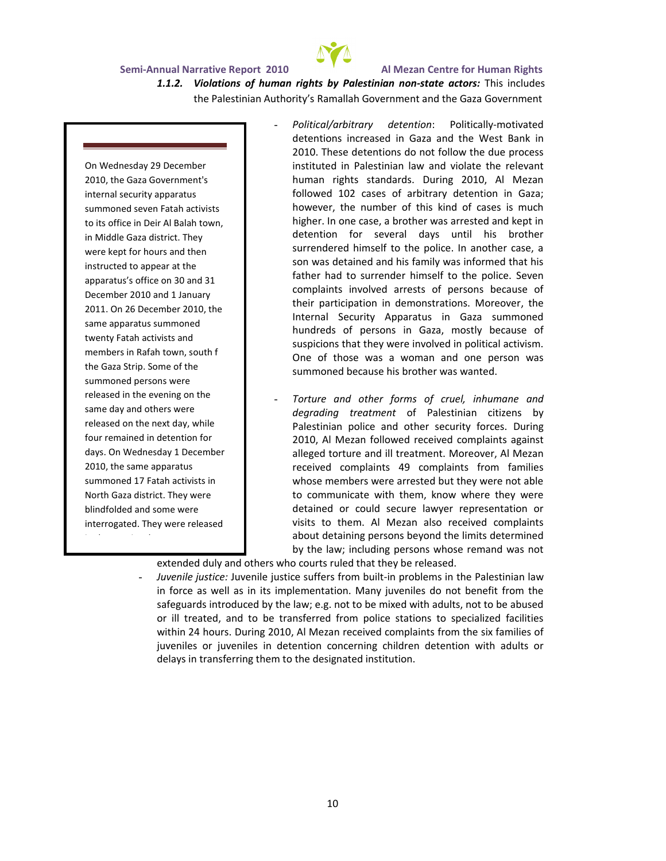

## *1.1.2. Violations of human rights by Palestinian non-state actors:* This includes the Palestinian Authority's Ramallah Government and the Gaza Government

On Wednesday 29 December 2010, the Gaza Government's internal security apparatus summoned seven Fatah activists to its office in Deir Al Balah town, in Middle Gaza district. They were kept for hours and then instructed to appear at the apparatus's office on 30 and 31 December 2010 and 1 January 2011. On 26 December 2010, the same apparatus summoned twenty Fatah activists and members in Rafah town, south f the Gaza Strip. Some of the summoned persons were released in the evening on the same day and others were released on the next day, while four remained in detention for days. On Wednesday 1 December 2010, the same apparatus summoned 17 Fatah activists in North Gaza district. They were blindfolded and some were interrogated. They were released

in the evening, but many were

- *Political/arbitrary detention*: Politically-motivated detentions increased in Gaza and the West Bank in 2010. These detentions do not follow the due process instituted in Palestinian law and violate the relevant human rights standards. During 2010, Al Mezan followed 102 cases of arbitrary detention in Gaza; however, the number of this kind of cases is much higher. In one case, a brother was arrested and kept in detention for several days until his brother surrendered himself to the police. In another case, a son was detained and his family was informed that his father had to surrender himself to the police. Seven complaints involved arrests of persons because of their participation in demonstrations. Moreover, the Internal Security Apparatus in Gaza summoned hundreds of persons in Gaza, mostly because of suspicions that they were involved in political activism. One of those was a woman and one person was summoned because his brother was wanted.
- *Torture and other forms of cruel, inhumane and degrading treatment* of Palestinian citizens by Palestinian police and other security forces. During 2010, Al Mezan followed received complaints against alleged torture and ill treatment. Moreover, Al Mezan received complaints 49 complaints from families whose members were arrested but they were not able to communicate with them, know where they were detained or could secure lawyer representation or visits to them. Al Mezan also received complaints about detaining persons beyond the limits determined by the law; including persons whose remand was not

extended duly and others who courts ruled that they be released. asked to appear at the

Juvenile justice: Juvenile justice suffers from built-in problems in the Palestinian law in force as well as in its implementation. Many juveniles do not benefit from the safeguards introduced by the law; e.g. not to be mixed with adults, not to be abused or ill treated, and to be transferred from police stations to specialized facilities within 24 hours. During 2010, Al Mezan received complaints from the six families of juveniles or juveniles in detention concerning children detention with adults or delays in transferring them to the designated institution.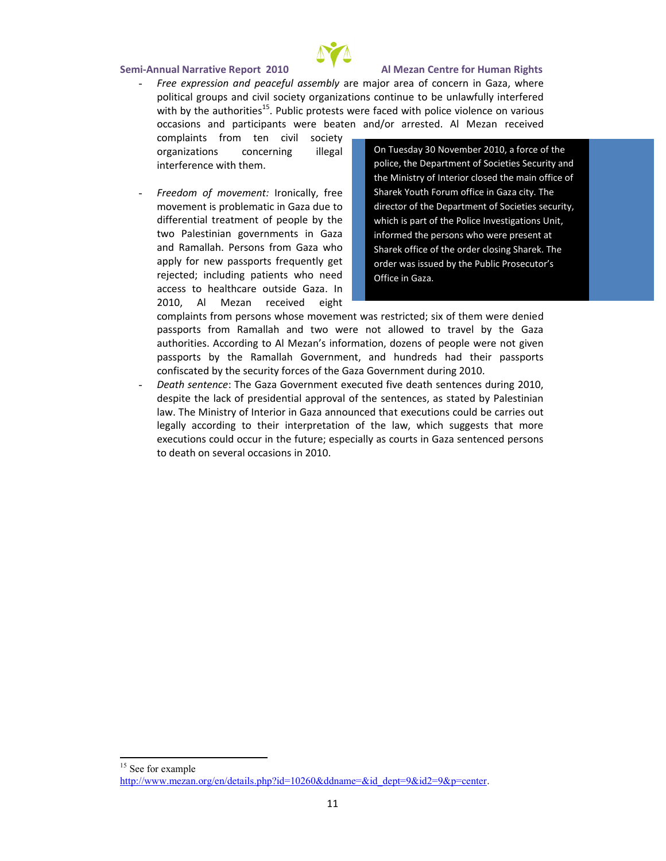- Free expression and peaargee-frountique saemached noon final para, where political growin show iety organizations continue to be unlave with by the a u<sup>5</sup> t Phublic protests we ced with poloiche vaind beunsce occasions and participants were beaten and boved rrested.

complaints from ten organizations concerr interference with them.

- Freedom of m:drvoemniqean.ltflye  $m \, o \, v \, e \, m \, e \, p \, t \, o \, l \, s \, l \, e \, m \, a \oplus i \, a \, z \, d \, a \, e$ differential troefapmeebpyteth two Palestinian govern and Ramalbarhs. on Ps from G apply  $f$  or  $p$  as  $s$   $p$  of  $r$  tesquently rejected; including pati access to healthcare In

On Tuesday 30 November 2010, a force police, the Department of Societies Se the Ministry of Interior closed the mai Sharek Youth Forum office in Gaza cit director of the Department of Societies which is part of the Police Investigation informed the persons who we e presen Sharek office of the order closing Sha order was issued by the Publ c Prosec Office in Gaza.

2010, Al Mezan received eight complaints from persons whose movement was robstricted; six passports from Ramallah and two were not allowed to t authori*f*uesording to Al Mezan s information, dozens of peop passports by the Ramallah Government, and hundreds h confiscated by three essen confirmed for a range overnment during 2010.

- Death senThecGaza Government executed five death senten despite the lack of presidential approval of the sentences, law. The Ministry of Interior in eCxarzatiaonmsoucrocueld bleacarries legally according to their interpretation of the law, whic executions could occur in the future; especially as courts in to death on several occasions in 2010.

<sup>&</sup>lt;sup>15</sup>See for example

http://www.mezan.op $\phi$ <sub>i</sub>/ee?nidd=e1t@a2l6s0&ddname=&id\_dept=9&id2=9&p=center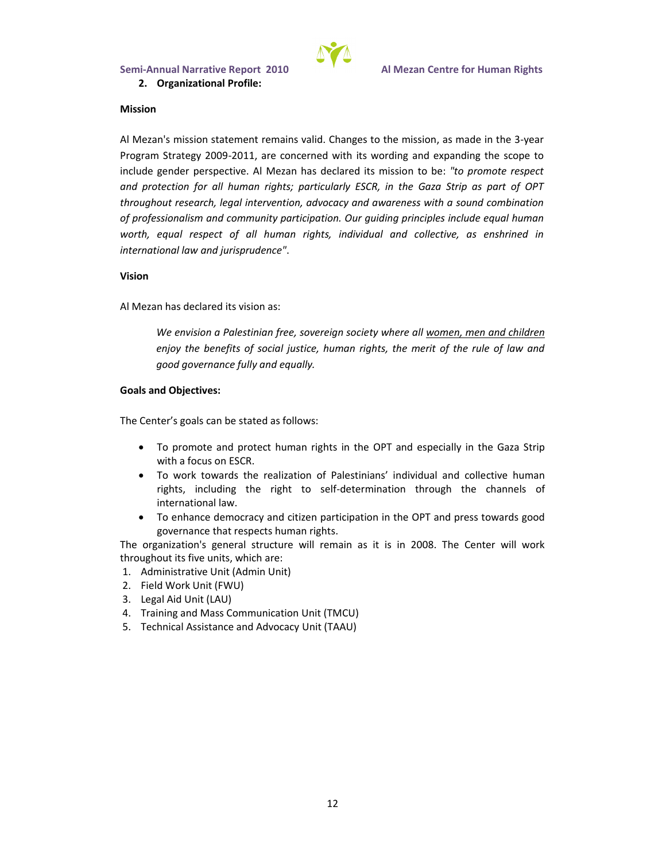

### **Mission**

Al Mezan's mission statement remains valid. Changes to the mission, as made in the 3-year Program Strategy 2009-2011, are concerned with its wording and expanding the scope to include gender perspective. Al Mezan has declared its mission to be: *"to promote respect and protection for all human rights; particularly ESCR, in the Gaza Strip as part of OPT throughout research, legal intervention, advocacy and awareness with a sound combination of professionalism and community participation. Our guiding principles include equal human worth, equal respect of all human rights, individual and collective, as enshrined in international law and jurisprudence"*.

### **Vision**

Al Mezan has declared its vision as:

*We envision a Palestinian free, sovereign society where all women, men and children enjoy the benefits of social justice, human rights, the merit of the rule of law and good governance fully and equally.*

### **Goals and Objectives:**

The Center's goals can be stated as follows:

- To promote and protect human rights in the OPT and especially in the Gaza Strip with a focus on ESCR.
- To work towards the realization of Palestinians' individual and collective human rights, including the right to self-determination through the channels of international law.
- To enhance democracy and citizen participation in the OPT and press towards good governance that respects human rights.

The organization's general structure will remain as it is in 2008. The Center will work throughout its five units, which are:

- 1. Administrative Unit (Admin Unit)
- 2. Field Work Unit (FWU)
- 3. Legal Aid Unit (LAU)
- 4. Training and Mass Communication Unit (TMCU)
- 5. Technical Assistance and Advocacy Unit (TAAU)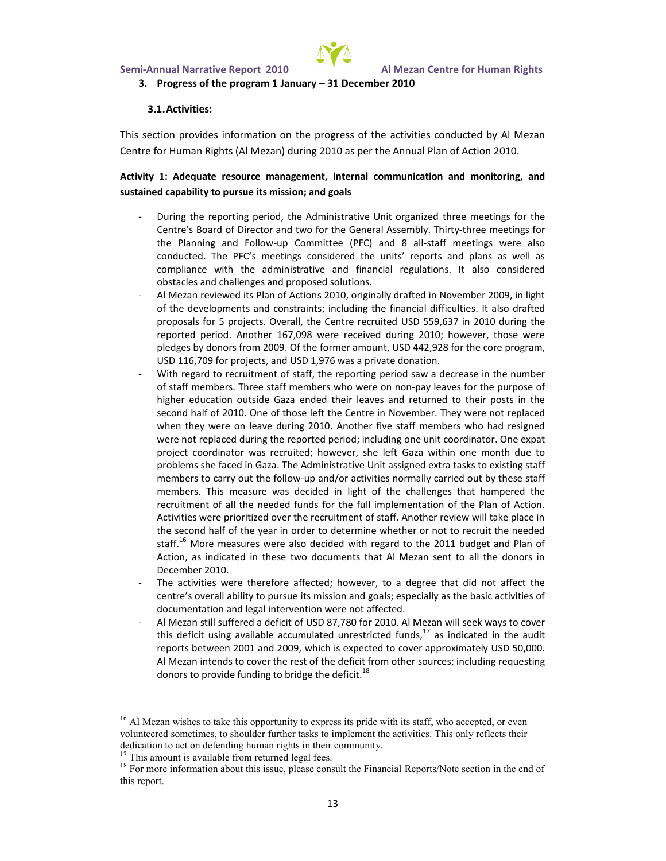

### **3. Progress of the program 1 January – 31 December 2010**

#### **3.1.Activities:**

This section provides information on the progress of the activities conducted by Al Mezan Centre for Human Rights (Al Mezan) during 2010 as per the Annual Plan of Action 2010.

### **Activity 1: Adequate resource management, internal communication and monitoring, and sustained capability to pursue its mission; and goals**

- During the reporting period, the Administrative Unit organized three meetings for the Centre's Board of Director and two for the General Assembly. Thirty-three meetings for the Planning and Follow-up Committee (PFC) and 8 all-staff meetings were also conducted. The PFC's meetings considered the units' reports and plans as well as compliance with the administrative and financial regulations. It also considered obstacles and challenges and proposed solutions.
- Al Mezan reviewed its Plan of Actions 2010, originally drafted in November 2009, in light of the developments and constraints; including the financial difficulties. It also drafted proposals for 5 projects. Overall, the Centre recruited USD 559,637 in 2010 during the reported period. Another 167,098 were received during 2010; however, those were pledges by donors from 2009. Of the former amount, USD 442,928 for the core program, USD 116,709 for projects, and USD 1,976 was a private donation.
- With regard to recruitment of staff, the reporting period saw a decrease in the number of staff members. Three staff members who were on non-pay leaves for the purpose of higher education outside Gaza ended their leaves and returned to their posts in the second half of 2010. One of those left the Centre in November. They were not replaced when they were on leave during 2010. Another five staff members who had resigned were not replaced during the reported period; including one unit coordinator. One expat project coordinator was recruited; however, she left Gaza within one month due to problems she faced in Gaza. The Administrative Unit assigned extra tasks to existing staff members to carry out the follow-up and/or activities normally carried out by these staff members. This measure was decided in light of the challenges that hampered the recruitment of all the needed funds for the full implementation of the Plan of Action. Activities were prioritized over the recruitment of staff. Another review will take place in the second half of the year in order to determine whether or not to recruit the needed staff.<sup>16</sup> More measures were also decided with regard to the 2011 budget and Plan of Action, as indicated in these two documents that Al Mezan sent to all the donors in December 2010.
- The activities were therefore affected; however, to a degree that did not affect the centre's overall ability to pursue its mission and goals; especially as the basic activities of documentation and legal intervention were not affected.
- Al Mezan still suffered a deficit of USD 87,780 for 2010. Al Mezan will seek ways to cover this deficit using available accumulated unrestricted funds, $^{17}$  as indicated in the audit reports between 2001 and 2009, which is expected to cover approximately USD 50,000. Al Mezan intends to cover the rest of the deficit from other sources; including requesting donors to provide funding to bridge the deficit.<sup>18</sup>

<sup>&</sup>lt;sup>16</sup> Al Mezan wishes to take this opportunity to express its pride with its staff, who accepted, or even volunteered sometimes, to shoulder further tasks to implement the activities. This only reflects their dedication to act on defending human rights in their community.

This amount is available from returned legal fees.

<sup>&</sup>lt;sup>18</sup> For more information about this issue, please consult the Financial Reports/Note section in the end of this report.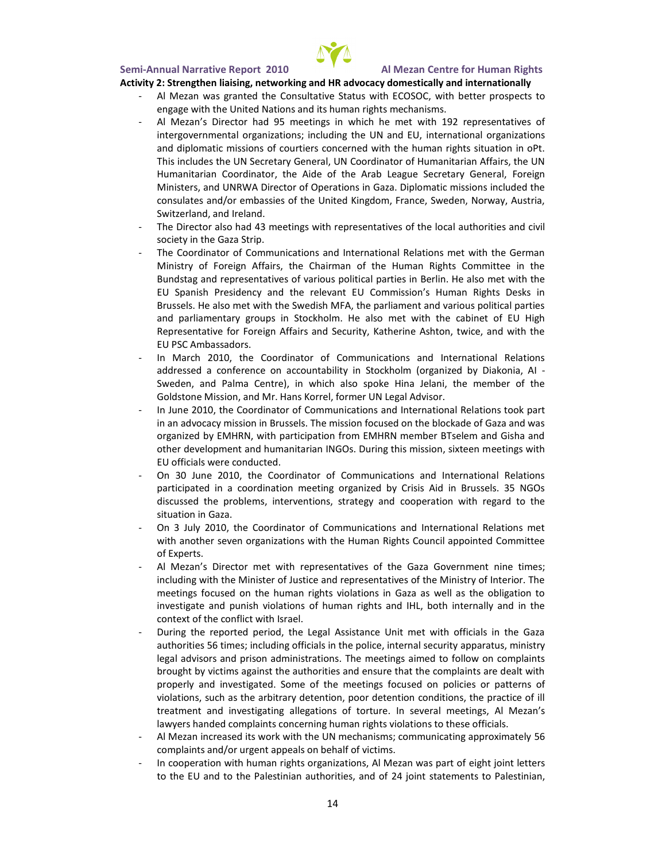

#### **Activity 2: Strengthen liaising, networking and HR advocacy domestically and internationally**

- Al Mezan was granted the Consultative Status with ECOSOC, with better prospects to engage with the United Nations and its human rights mechanisms.
- Al Mezan's Director had 95 meetings in which he met with 192 representatives of intergovernmental organizations; including the UN and EU, international organizations and diplomatic missions of courtiers concerned with the human rights situation in oPt. This includes the UN Secretary General, UN Coordinator of Humanitarian Affairs, the UN Humanitarian Coordinator, the Aide of the Arab League Secretary General, Foreign Ministers, and UNRWA Director of Operations in Gaza. Diplomatic missions included the consulates and/or embassies of the United Kingdom, France, Sweden, Norway, Austria, Switzerland, and Ireland.
- The Director also had 43 meetings with representatives of the local authorities and civil society in the Gaza Strip.
- The Coordinator of Communications and International Relations met with the German Ministry of Foreign Affairs, the Chairman of the Human Rights Committee in the Bundstag and representatives of various political parties in Berlin. He also met with the EU Spanish Presidency and the relevant EU Commission's Human Rights Desks in Brussels. He also met with the Swedish MFA, the parliament and various political parties and parliamentary groups in Stockholm. He also met with the cabinet of EU High Representative for Foreign Affairs and Security, Katherine Ashton, twice, and with the EU PSC Ambassadors.
- In March 2010, the Coordinator of Communications and International Relations addressed a conference on accountability in Stockholm (organized by Diakonia, AI - Sweden, and Palma Centre), in which also spoke Hina Jelani, the member of the Goldstone Mission, and Mr. Hans Korrel, former UN Legal Advisor.
- In June 2010, the Coordinator of Communications and International Relations took part in an advocacy mission in Brussels. The mission focused on the blockade of Gaza and was organized by EMHRN, with participation from EMHRN member BTselem and Gisha and other development and humanitarian INGOs. During this mission, sixteen meetings with EU officials were conducted.
- On 30 June 2010, the Coordinator of Communications and International Relations participated in a coordination meeting organized by Crisis Aid in Brussels. 35 NGOs discussed the problems, interventions, strategy and cooperation with regard to the situation in Gaza.
- On 3 July 2010, the Coordinator of Communications and International Relations met with another seven organizations with the Human Rights Council appointed Committee of Experts.
- Al Mezan's Director met with representatives of the Gaza Government nine times; including with the Minister of Justice and representatives of the Ministry of Interior. The meetings focused on the human rights violations in Gaza as well as the obligation to investigate and punish violations of human rights and IHL, both internally and in the context of the conflict with Israel.
- During the reported period, the Legal Assistance Unit met with officials in the Gaza authorities 56 times; including officials in the police, internal security apparatus, ministry legal advisors and prison administrations. The meetings aimed to follow on complaints brought by victims against the authorities and ensure that the complaints are dealt with properly and investigated. Some of the meetings focused on policies or patterns of violations, such as the arbitrary detention, poor detention conditions, the practice of ill treatment and investigating allegations of torture. In several meetings, Al Mezan's lawyers handed complaints concerning human rights violations to these officials.
- Al Mezan increased its work with the UN mechanisms; communicating approximately 56 complaints and/or urgent appeals on behalf of victims.
- In cooperation with human rights organizations, Al Mezan was part of eight joint letters to the EU and to the Palestinian authorities, and of 24 joint statements to Palestinian,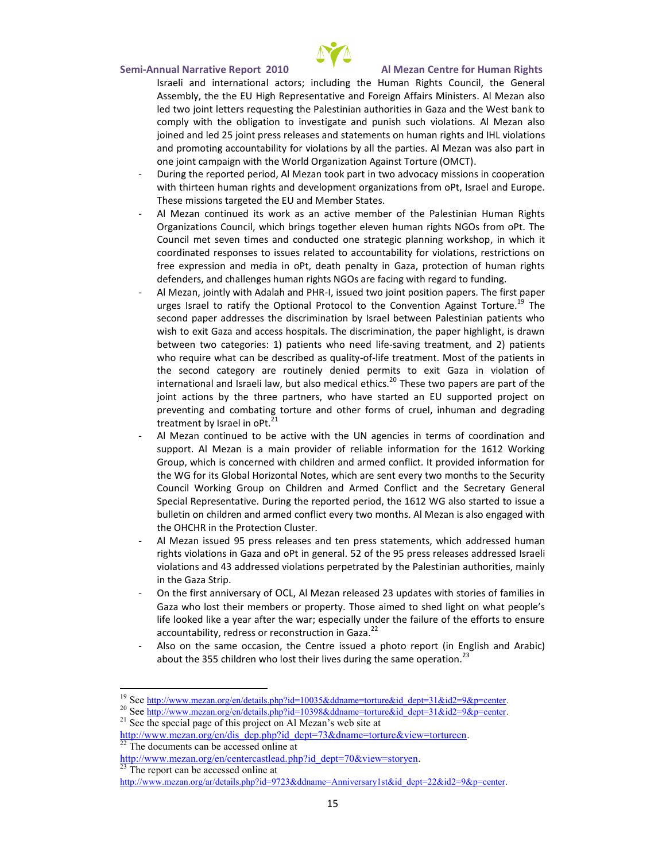- Israeli and international tahoeto.Hhsu;m amncloniding the Human Council, the Ge Assem, btliye theli EjhU Representative and Forei&yh Mioérzaainrsa Misionister ledwo joint letters requesting the Palestinian authorities in Ga comply with the obligation to investigate Adnider anish souch vio joined and led 25 joint press releases and statements on human and promoting accountability for violations by all the parties. on<sub>etio</sub>nt campaign with the World Organization Against Torture
- During the reported period, Al Mezan took part in two advocac with tritteen human rights and development organizations from c These missions targeted the EU and Member States.
- Al Mezan continued its work as an active member of the Pa Organizations Council, which brings to the entry leven brond  $Pt$ . Council sme we oot meas not conducted one strategic, pihanw hincoph wito rkshop coordinated responses to issues related to accountability for free expression and media tim ionPiGadeaath roptencation of human r defenders, and challenges human rights NGOs are facing with
- Al Mezan, jointly with A dias leatuh eigeboried t PpHoPs ition papers. The first p urges Israel to ratify the Otphteio  $6$ ah Wernottion on Algo $a$ infiste Torture. second paper addresses the discrimination by Israel between wish to exit Gaza and access hospitals. The discrimination, the between two categories: 1)dplai**s e**ewrinsg winheoatmeneent, and 2) patier who require what can be dessligited bende and smear and life of the patient. the second category are routinely denied permits to exit international and Israeli lawhi $\hat{\bm{\mathsf{b}}}$ shifthes besotwaedpie papers are part of t joint actions by the three partners, who have started an EL preventing and combating torture and other forms of cruel, i treatment by  $Is^{2}t^{1}$ ael in oPt.
- Al Mezan continae to view which the UN agencies in terms of coordination support. Al Mezan is a main provider of reliable information Group, which is concerned with children and armed conflict. It the WG for its Ghobbla Note erst zowhich are sent every two months to Council Working Group on Children and Armed Conflict and Special Representative. During the reported period, the 1612 bulletin on childroehrcoannfdioatrne overy two months. Al Mezan is also the OHCHR in the Protection Cluster.
- Al Mezan  $95$ puesds releateempressed statements, webliot and dress rights violations in Gaza 5a2ond **b19Pe2**pri**e.ss.** eneedeæd**se.s**s. beoddade li violatiaom sta and ressed violations perpetrated by the Palestinian in the Gaza Strip.
- On the first ann OLCeL *A*s a My eat in released 23 updates with stories Gaza who lost their membenoss coraponed etoly shed light on what people  $\alpha$ life looked like a year after the war; especially under the fail accountability, redress or  $r \notin \hat{c}$  onstruction in Gaza.
- Also on the same occasion, the Centre issslue adnotal Aphaobtic c) report about the 355 children who lost their lives during the same op

http://www.mezan.org/eph/pe?nidedceapsttlea&view=storyen

 $23$ The report can be accessed online at

http://www.mezan.org/ar/details.php?id=9723&ddna2n= $\Theta$ =& Apn=mievet sary1st&id\_dept=

<sup>&</sup>lt;sup>19</sup>Sebett<u>p://www.mezan.org/en/details.php?id=10035&ddname</u>=torture&id\_dept=3<sup>-</sup>

<sup>&</sup>lt;sup>20</sup>Selettp://www.mezan.org/en/details.php?id=10398&ddname=torture&id\_dept=3<sup>-</sup>  $21$ See the special page of this project on Al Mezan s web site at

[http://www.mezan.org](http://www.mezan.org/en/dis_dep.php)/en/dis\_dep.php?id\_dept=7.3&dname=torture&view= 22The documents can be accessed online at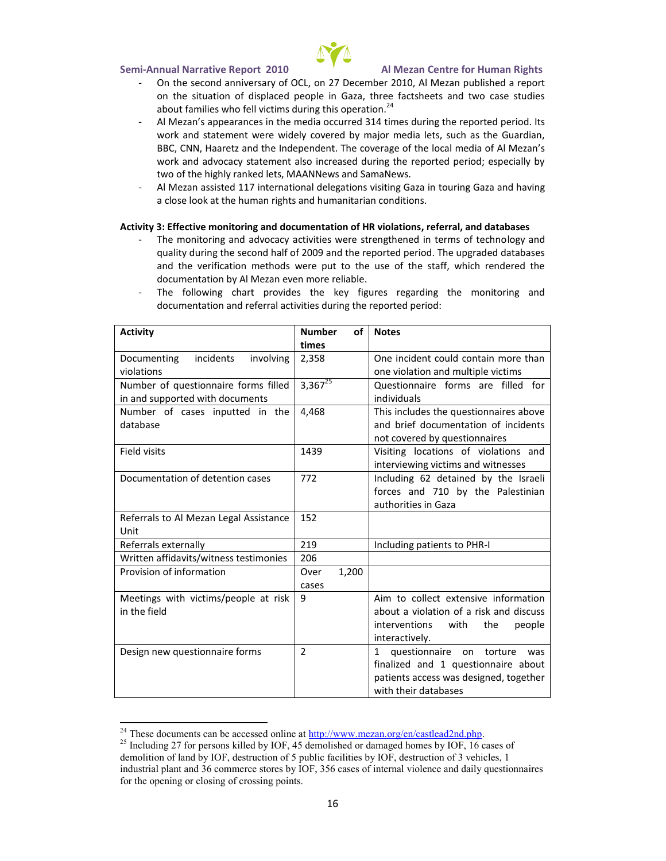- On the second annivens  $2 \bar{r}$ y Doef c @h to ber Me  $22$  published a report on the situation of displaced people in Gaza, three factshee about families who fell victims  $2\text{4}$  uring this operation.
- Al Mezan s appearances in  $3h$   $\phi$  immesdidau oionoquitheed reported period. work and statement were widely covered by major media lets BBCC,NN, Haaretz and dtehnet.InTcheep ecoverage of the local media of work and advocacy statement also increased during the repor two of the highly ranked lets, MAANNews and SamaNews.
- Al Mezan as s $\vec{a}$ ns ted national delegation tso wiris nitgin Gaa  $\vec{a}$ a and having a close look at the human rights and humanitarian conditions.

A ctivit Ey fiste ctive monitoring and document at eifoer roaff, HaR noviolatata ibo anse s

- The monitoring and advocacy activities were lsotgenaght blened in quality during the second half of 2009 and the reported period. and the verification methods were put to the use of the sta documentation by Al Mezan even more reliable.
- The following chart pkreowidfegsurehse regarding the monitoring documentation and referral activities during the reported period

| Activity                     | Number            | Notes                        |
|------------------------------|-------------------|------------------------------|
|                              | times             |                              |
| inciden<br>Documenting       | 2,358             | One incident could cor       |
| violations                   |                   | one violation and timusti    |
| Number of questionnai        | 3,3 $\frac{1}{2}$ | Questionnaire forms          |
| in and supported with        |                   | individuals                  |
| Number of cases inp          | 4,468             | This includes the ques       |
| database                     |                   | and brief documentatid       |
|                              |                   | no covered by question       |
| Field visits                 | 1439              | Visiting locations of        |
|                              |                   | interviewing victims an      |
| Documentation of dete        | 772               | Includ6n2gletained by th     |
|                              |                   | forces andby the Pale        |
|                              |                   | authorities in Gaza          |
| Refelmsrato Al Mezan Led 152 |                   |                              |
| Unit                         |                   |                              |
| Referrals externally         | 219               | Including patients to P      |
| Written affidavits/witn 206  |                   |                              |
| Provision of informatio      | Over              |                              |
|                              | cases             |                              |
| Meetings with victims/       | 9                 | Aim to colleencstive extinio |
| in the field                 |                   | about a violation of a       |
|                              |                   | interventions<br>with        |
|                              |                   | interactively.               |
| Design new questionna 2      |                   | 1 questionnaire on           |
|                              |                   | finalized and 1 quest        |
|                              |                   | patients access was de       |
|                              |                   | with th <b>æta</b> bdases    |
|                              |                   |                              |

 $^{24}$ These documents can be  $\frac{\text{hat}\text{cos}}{\text{cos}}$  swewdw.orm  $\frac{\text{d}}{\text{cos}}$  and  $\frac{\text{d}}{\text{cos}}$  astlead 2nd.php  $^{25}$ Including 27 for persons killed by IOF, 45 demolished or damaged hor demiolon of land by IOF, destruction of 5 public facilities by IOF, destr industrial plant and 36 commerce stores by IOF, 356 cases of internal [for the opening or](http://www.mezan.org/ar/details.php) closing of crossing points.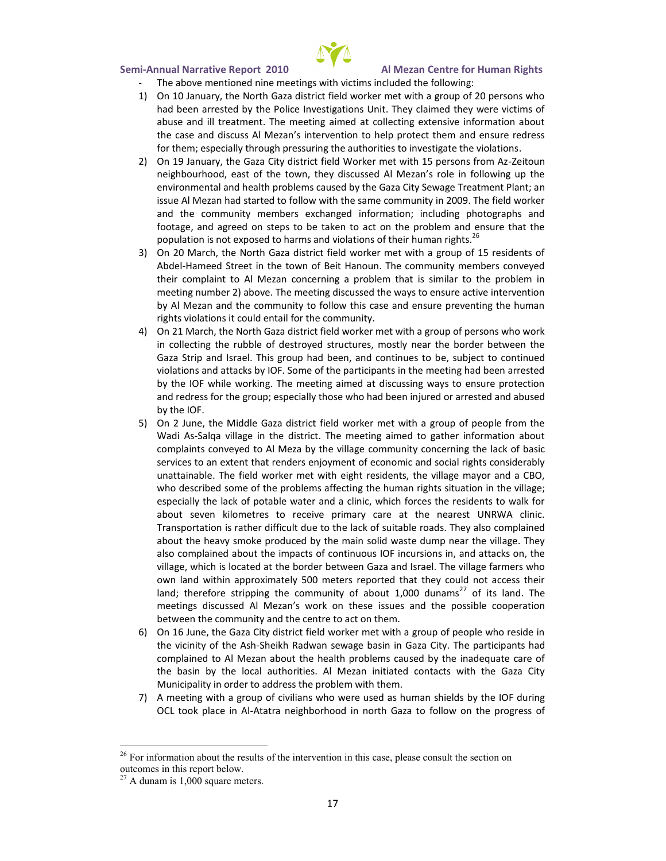

- The above mentioned nine meetings with victims included the following:
- 1) On 10 January, the North Gaza district field worker met with a group of 20 persons who had been arrested by the Police Investigations Unit. They claimed they were victims of abuse and ill treatment. The meeting aimed at collecting extensive information about the case and discuss Al Mezan's intervention to help protect them and ensure redress for them; especially through pressuring the authorities to investigate the violations.
- 2) On 19 January, the Gaza City district field Worker met with 15 persons from Az-Zeitoun neighbourhood, east of the town, they discussed Al Mezan's role in following up the environmental and health problems caused by the Gaza City Sewage Treatment Plant; an issue Al Mezan had started to follow with the same community in 2009. The field worker and the community members exchanged information; including photographs and footage, and agreed on steps to be taken to act on the problem and ensure that the population is not exposed to harms and violations of their human rights.<sup>26</sup>
- 3) On 20 March, the North Gaza district field worker met with a group of 15 residents of Abdel-Hameed Street in the town of Beit Hanoun. The community members conveyed their complaint to Al Mezan concerning a problem that is similar to the problem in meeting number 2) above. The meeting discussed the ways to ensure active intervention by Al Mezan and the community to follow this case and ensure preventing the human rights violations it could entail for the community.
- 4) On 21 March, the North Gaza district field worker met with a group of persons who work in collecting the rubble of destroyed structures, mostly near the border between the Gaza Strip and Israel. This group had been, and continues to be, subject to continued violations and attacks by IOF. Some of the participants in the meeting had been arrested by the IOF while working. The meeting aimed at discussing ways to ensure protection and redress for the group; especially those who had been injured or arrested and abused by the IOF.
- 5) On 2 June, the Middle Gaza district field worker met with a group of people from the Wadi As-Salqa village in the district. The meeting aimed to gather information about complaints conveyed to Al Meza by the village community concerning the lack of basic services to an extent that renders enjoyment of economic and social rights considerably unattainable. The field worker met with eight residents, the village mayor and a CBO, who described some of the problems affecting the human rights situation in the village; especially the lack of potable water and a clinic, which forces the residents to walk for about seven kilometres to receive primary care at the nearest UNRWA clinic. Transportation is rather difficult due to the lack of suitable roads. They also complained about the heavy smoke produced by the main solid waste dump near the village. They also complained about the impacts of continuous IOF incursions in, and attacks on, the village, which is located at the border between Gaza and Israel. The village farmers who own land within approximately 500 meters reported that they could not access their land; therefore stripping the community of about 1,000 dunams<sup>27</sup> of its land. The meetings discussed Al Mezan's work on these issues and the possible cooperation between the community and the centre to act on them.
- 6) On 16 June, the Gaza City district field worker met with a group of people who reside in the vicinity of the Ash-Sheikh Radwan sewage basin in Gaza City. The participants had complained to Al Mezan about the health problems caused by the inadequate care of the basin by the local authorities. Al Mezan initiated contacts with the Gaza City Municipality in order to address the problem with them.
- 7) A meeting with a group of civilians who were used as human shields by the IOF during OCL took place in Al-Atatra neighborhood in north Gaza to follow on the progress of

<sup>&</sup>lt;sup>26</sup> For information about the results of the intervention in this case, please consult the section on outcomes in this report below.

 $27$  A dunam is 1,000 square meters.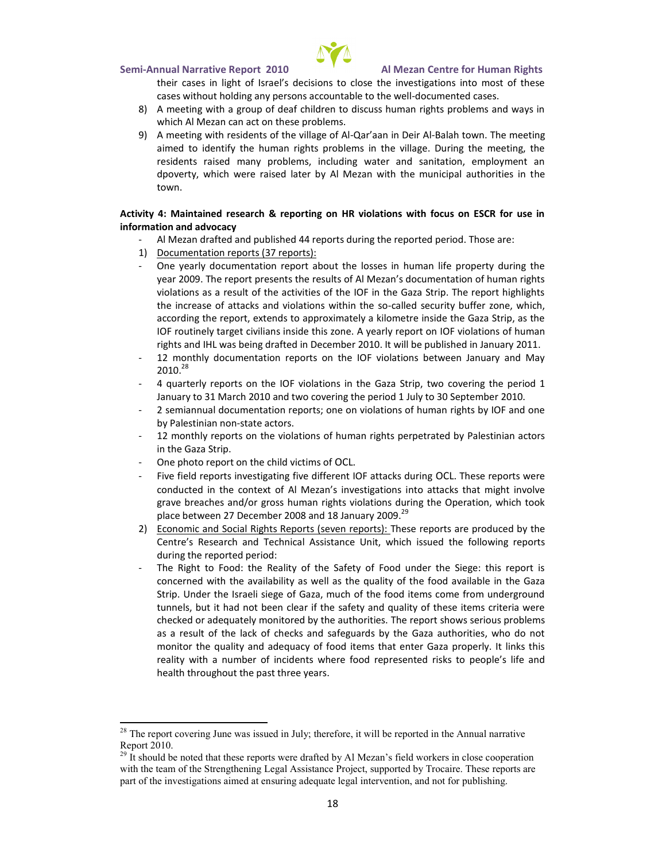

- their cases in light of Israel's decisions to close the investigations into most of these cases without holding any persons accountable to the well-documented cases.
- 8) A meeting with a group of deaf children to discuss human rights problems and ways in which Al Mezan can act on these problems.
- 9) A meeting with residents of the village of Al-Qar'aan in Deir Al-Balah town. The meeting aimed to identify the human rights problems in the village. During the meeting, the residents raised many problems, including water and sanitation, employment an dpoverty, which were raised later by Al Mezan with the municipal authorities in the town.

### **Activity 4: Maintained research & reporting on HR violations with focus on ESCR for use in information and advocacy**

- Al Mezan drafted and published 44 reports during the reported period. Those are:
- 1) Documentation reports (37 reports):
- One yearly documentation report about the losses in human life property during the year 2009. The report presents the results of Al Mezan's documentation of human rights violations as a result of the activities of the IOF in the Gaza Strip. The report highlights the increase of attacks and violations within the so-called security buffer zone, which, according the report, extends to approximately a kilometre inside the Gaza Strip, as the IOF routinely target civilians inside this zone. A yearly report on IOF violations of human rights and IHL was being drafted in December 2010. It will be published in January 2011.
- 12 monthly documentation reports on the IOF violations between January and May  $2010.<sup>28</sup>$
- 4 quarterly reports on the IOF violations in the Gaza Strip, two covering the period 1 January to 31 March 2010 and two covering the period 1 July to 30 September 2010.
- 2 semiannual documentation reports; one on violations of human rights by IOF and one by Palestinian non-state actors.
- 12 monthly reports on the violations of human rights perpetrated by Palestinian actors in the Gaza Strip.
- One photo report on the child victims of OCL.
- Five field reports investigating five different IOF attacks during OCL. These reports were conducted in the context of Al Mezan's investigations into attacks that might involve grave breaches and/or gross human rights violations during the Operation, which took place between 27 December 2008 and 18 January 2009.<sup>29</sup>
- 2) Economic and Social Rights Reports (seven reports): These reports are produced by the Centre's Research and Technical Assistance Unit, which issued the following reports during the reported period:
- The Right to Food: the Reality of the Safety of Food under the Siege: this report is concerned with the availability as well as the quality of the food available in the Gaza Strip. Under the Israeli siege of Gaza, much of the food items come from underground tunnels, but it had not been clear if the safety and quality of these items criteria were checked or adequately monitored by the authorities. The report shows serious problems as a result of the lack of checks and safeguards by the Gaza authorities, who do not monitor the quality and adequacy of food items that enter Gaza properly. It links this reality with a number of incidents where food represented risks to people's life and health throughout the past three years.

 $28$  The report covering June was issued in July; therefore, it will be reported in the Annual narrative Report 2010.

<sup>29</sup> It should be noted that these reports were drafted by Al Mezan's field workers in close cooperation with the team of the Strengthening Legal Assistance Project, supported by Trocaire. These reports are part of the investigations aimed at ensuring adequate legal intervention, and not for publishing.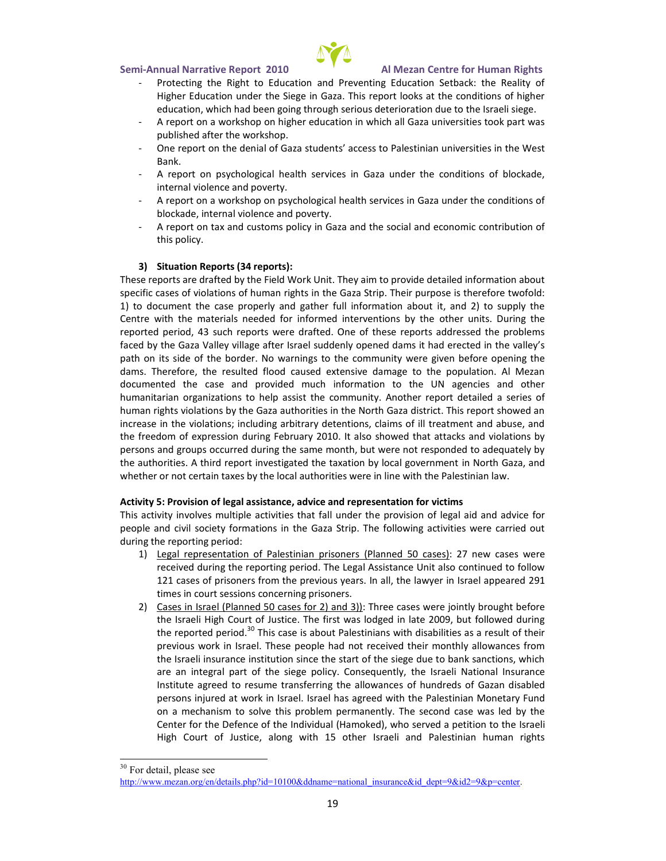

- Protecting the Right to Education and Preventing Education Setback: the Reality of Higher Education under the Siege in Gaza. This report looks at the conditions of higher education, which had been going through serious deterioration due to the Israeli siege.
- A report on a workshop on higher education in which all Gaza universities took part was published after the workshop.
- One report on the denial of Gaza students' access to Palestinian universities in the West Bank.
- A report on psychological health services in Gaza under the conditions of blockade, internal violence and poverty.
- A report on a workshop on psychological health services in Gaza under the conditions of blockade, internal violence and poverty.
- A report on tax and customs policy in Gaza and the social and economic contribution of this policy.

### **3) Situation Reports (34 reports):**

These reports are drafted by the Field Work Unit. They aim to provide detailed information about specific cases of violations of human rights in the Gaza Strip. Their purpose is therefore twofold: 1) to document the case properly and gather full information about it, and 2) to supply the Centre with the materials needed for informed interventions by the other units. During the reported period, 43 such reports were drafted. One of these reports addressed the problems faced by the Gaza Valley village after Israel suddenly opened dams it had erected in the valley's path on its side of the border. No warnings to the community were given before opening the dams. Therefore, the resulted flood caused extensive damage to the population. Al Mezan documented the case and provided much information to the UN agencies and other humanitarian organizations to help assist the community. Another report detailed a series of human rights violations by the Gaza authorities in the North Gaza district. This report showed an increase in the violations; including arbitrary detentions, claims of ill treatment and abuse, and the freedom of expression during February 2010. It also showed that attacks and violations by persons and groups occurred during the same month, but were not responded to adequately by the authorities. A third report investigated the taxation by local government in North Gaza, and whether or not certain taxes by the local authorities were in line with the Palestinian law.

### **Activity 5: Provision of legal assistance, advice and representation for victims**

This activity involves multiple activities that fall under the provision of legal aid and advice for people and civil society formations in the Gaza Strip. The following activities were carried out during the reporting period:

- 1) Legal representation of Palestinian prisoners (Planned 50 cases): 27 new cases were received during the reporting period. The Legal Assistance Unit also continued to follow 121 cases of prisoners from the previous years. In all, the lawyer in Israel appeared 291 times in court sessions concerning prisoners.
- 2) Cases in Israel (Planned 50 cases for 2) and 3)): Three cases were jointly brought before the Israeli High Court of Justice. The first was lodged in late 2009, but followed during the reported period. $30$  This case is about Palestinians with disabilities as a result of their previous work in Israel. These people had not received their monthly allowances from the Israeli insurance institution since the start of the siege due to bank sanctions, which are an integral part of the siege policy. Consequently, the Israeli National Insurance Institute agreed to resume transferring the allowances of hundreds of Gazan disabled persons injured at work in Israel. Israel has agreed with the Palestinian Monetary Fund on a mechanism to solve this problem permanently. The second case was led by the Center for the Defence of the Individual (Hamoked), who served a petition to the Israeli High Court of Justice, along with 15 other Israeli and Palestinian human rights

<sup>&</sup>lt;sup>30</sup> For detail, please see

http://www.mezan.org/en/details.php?id=10100&ddname=national\_insurance&id\_dept=9&id2=9&p=center.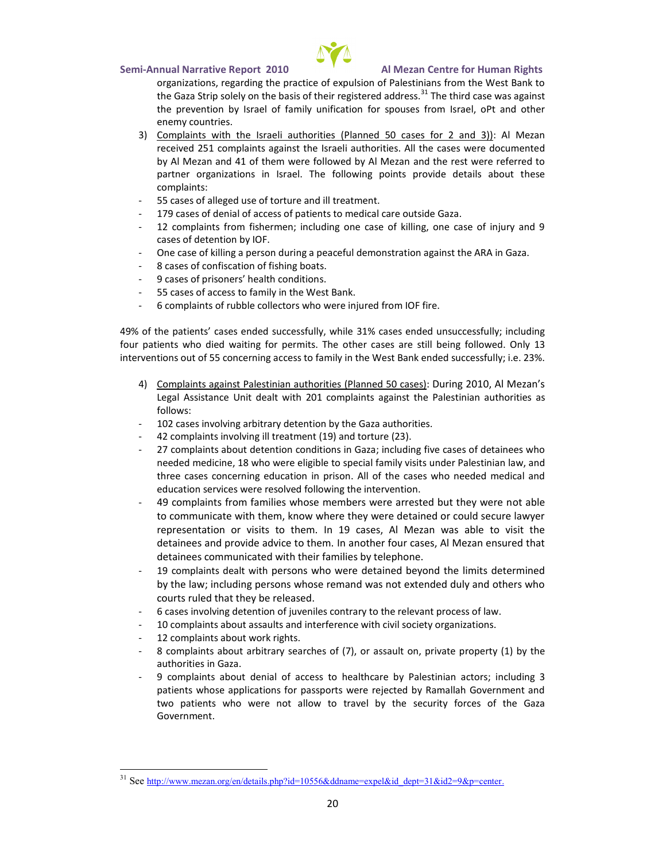organizations, regarding the practice of expulsion of Palestini the Gazip Sfotely on the basis of the  $i$  Three gtins tread sæd outræss sagainst the prevention by Israel off**oransiologue entition for stael, oPt and** enemy countries.

3) Complaints with the Isr(aPelkain and bordition asses four  $M$  examon 3))

recei $\mathcal{Q}$  fost complaints against the Israeli authorities. All the case by Al Meza4n1o antothem were followed and of the Mezanwere referred to partner organizations in Israel. The followingh psoents provident complaints:

- 55 cases of alleged use of torture and ill treatment.
- 17& asesdeonfial of apaches endos from edical care outside Gaza.
- 12complaints from fishermen; including one case of killing, o cases of detention by IOF
- One case of killing a person during a peaceful demonstration a
- 8 casefs coonfiscation of fishing boats.
- 9 cases of prisoners sealth condition
- 55cases of access to family in the West Bank.
- 6 complaints of rubble weethe cnouse who am IOF fire.

49%of the patients cases ended\$1s% cocaessessfully puncture including unccessfully; in four patients who died waitin**gheforcasessiase Tshellob@enihyg 1f**o\$llowed. interventions out of  $56$ esontoefamidyaion the West Bank ended success

- 4) Complaints against PalestPihainamendu 510 **Cantimes** 2010, Al Mezan s Legal Assistance U28 Dtto enaplita awgitastin st thein Paanleasut theosities follows:
- 102asensvolving arbitrary detention by the Gaza authorities.
- 4.2complaints involving(1i9l) tamoerdatum?eeBnt
- 27complaints d**ab**omuttion conditions cind Grap five cases of detainee needed mediBciwholeo were eligibalenitloy sypissictisalunider Paalnensittinian law three cases concerning edAuld ad forth encasies on who needed medical education services were resolved following the intervention.
- 49 complaints from families whose members owtearbloarrested to communicate with them, know where they were detained a <code>representation or vi</code>shits 19 ocalsess, Al Mezan was able to  $\sqrt{ }$ detainees and provide land a nooetheorthoeum.cases, Al Mezan ensure detaine ce ommunicated with their families by telephone.
- 19complaints with the andersons who were detained beyond the limits by the law; including persons whose remand was not extend courts ruled that they be released.
- 6 cases liming detention of juveniles contrary to the relevant pr
- 10 complaints about assaults and interference with civil societ
- 12complaints about work rights.
- 8 complaints a a**b** ictuatry searcheass scefu ("13) hoinvoanteo pper(t1yby the authorimie Gaza
- 9 compinats abobeuntial of accehessosithboyanPealestinianinacduo8nish g patients whose applications for passports were rejected by R two patients who were not allowse courittry avfool riches to he Gaza Government.

 $31$ Seettp://www.mezan.org/en/details.php?id=10556&ddname=expel&id\_dept=31&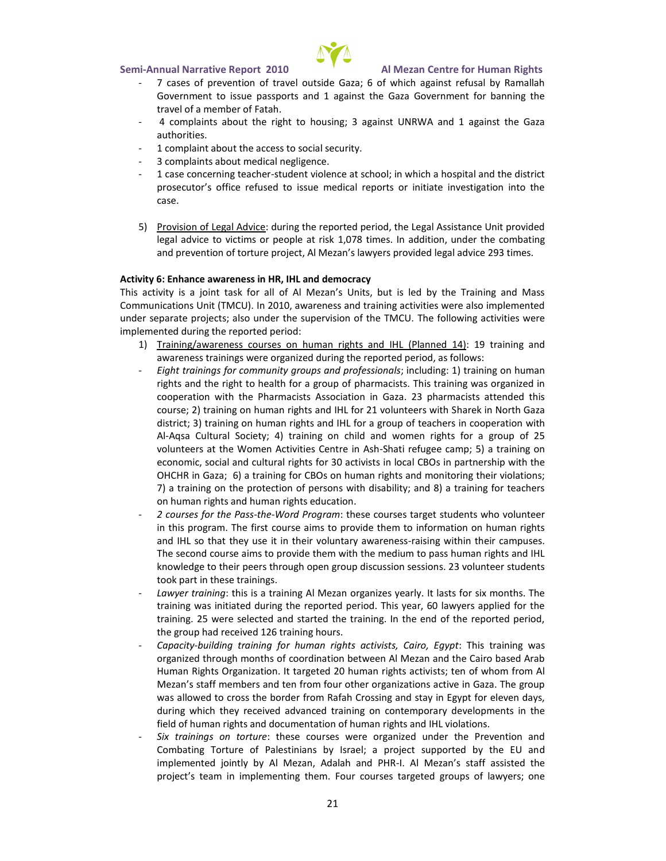- 7 cases of prevention of travel outside Gaza; 6 of which aga Government to issue passports and 1 against the Gaza Gove travel of a member of Fatah.
- 4 compla  $arbt$  sum the right to ;  $h$   $\delta$  using  $q$  and  $V$  and  $1$  against the  $h$ authorities.
- 1complaint abouaccess to social security.
- 3 complaints about medical negligence.
- 1 case concernismtgudent brition at school; in which a hospital proescutor s office refused to issue medical reports or initiate case.
- 5) Provision of Legdaulri<sup>a</sup>ndgvitchee reported period, the Legal Assistance legal advice to victims 10,1070 tempose bant addeditionen, coormodoeanting and prevention of torture project, Al Mezan 2 $\mathcal D$  Slamweysers provided

Activit Fin Chance awareness in HR, IHL and democracy This activity is a joint task for all of Al Mezan s Units, but is I

Commucations Unit n(T2MOCOU,) awareness and training activities were a under separate projects; also under the heupcel tows inog actionie i T solder ( implemented during the reported period:

- 1) Training/awareness caurses hts an an Rum al 19t4 pining and awareness trainings were organized during the reported period
- Eight tainings for community grouppishabudd) photopaliensisning noand shuman rights and the right to he**a** htah moarciastosro **The Straining was orgar** cooperation with the Pharmacists Association in Gaza. 23 ph cours2p;training on human rights and IHL hafperk2in WooluthteGeazawith district; raining on humdan Hr Lighters and roup of teach weintsh in cooperation of the and  $\mathbf{r}_i$ A lA q sa Cultural ) Solica enting g 4 on child and women rights for a g volunteers at the Women Acti<sup>g</sup>s htai eis resteungtes and the phing on economic, social and foor u BtCu ræd tirvig shtts innl**oxeme in SCHB**  $\Omega$  swith the OHCHR in Gaza; 6) a training for CBOs on human rights and 7) a training on the protection of persons with disability; and on human rights nanidghtus meducation.
- 2 courses for the WeoPdas  $\frac{1}{2}$  ranges courses target students who volunteer in this program. The first course aims to provide them to infor and IHL so that they use it in theairs wonoidtuhninhathy eainwesemmeneuses ... The second course aims to provide them with the medium to  $pi$ knowledge to their peers through open group discussion sessions took part in these trainings.
- Lawyer trahis is mantga Al Mezan organizes yearly. It lasts for six months. The months of six months. The six mon training was initiated during the reported period. This year,  $\epsilon$ training. 25 were selected and started the training. In the en the group hiared the factoring hours.
- Capadbitu yilding training for human rights  $\bar{a}$ btisvitsrtesining ginwas Egy organized through months of coordination between Al Mezan a Human Rights Organization. It targestesst 200 nhoufm www.hormighitss.macAtlivi Mezan s staff members and ten from four other organizations was allowed to cross the border from Rafah Crossing and stay during which they received advanced ytrokaeiweining proments in the mtheara field of human rights and documentation of human rights and I
- Sixtrainings on ttho erecourses were organized under the Pre Combating Torture of Palestinians by Israel; a dproject sup implemented jointly by Al Mezan, AA dMaezaanas dstPahfiR assisted t [project s team i](http://www.mezan.org/en/details.php)n imple Fino euconoius gest htem geted groups of lawyers;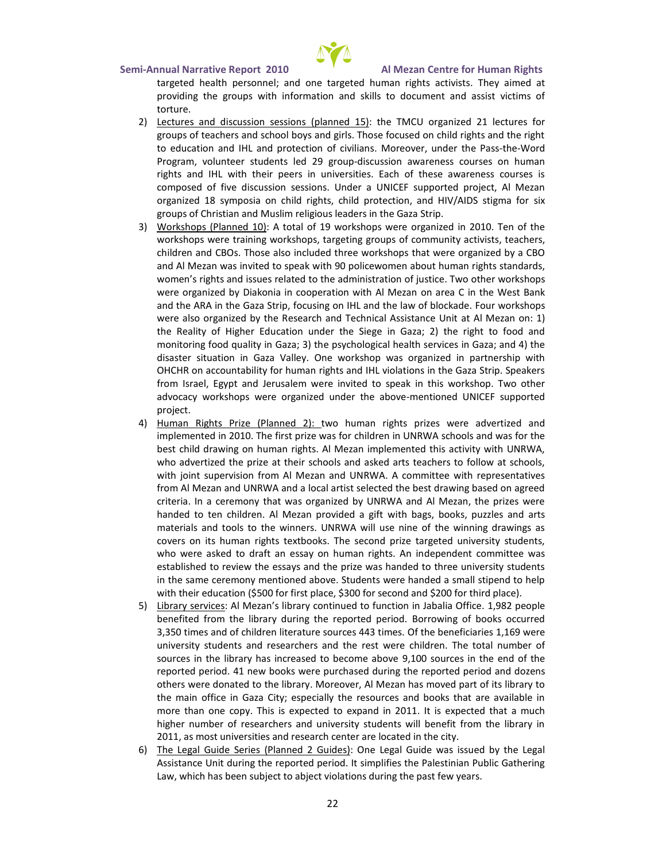

targeted health personnel; and one targeted human rights activists. They aimed at providing the groups with information and skills to document and assist victims of torture.

- 2) Lectures and discussion sessions (planned 15): the TMCU organized 21 lectures for groups of teachers and school boys and girls. Those focused on child rights and the right to education and IHL and protection of civilians. Moreover, under the Pass-the-Word Program, volunteer students led 29 group-discussion awareness courses on human rights and IHL with their peers in universities. Each of these awareness courses is composed of five discussion sessions. Under a UNICEF supported project, Al Mezan organized 18 symposia on child rights, child protection, and HIV/AIDS stigma for six groups of Christian and Muslim religious leaders in the Gaza Strip.
- 3) Workshops (Planned 10): A total of 19 workshops were organized in 2010. Ten of the workshops were training workshops, targeting groups of community activists, teachers, children and CBOs. Those also included three workshops that were organized by a CBO and Al Mezan was invited to speak with 90 policewomen about human rights standards, women's rights and issues related to the administration of justice. Two other workshops were organized by Diakonia in cooperation with Al Mezan on area C in the West Bank and the ARA in the Gaza Strip, focusing on IHL and the law of blockade. Four workshops were also organized by the Research and Technical Assistance Unit at Al Mezan on: 1) the Reality of Higher Education under the Siege in Gaza; 2) the right to food and monitoring food quality in Gaza; 3) the psychological health services in Gaza; and 4) the disaster situation in Gaza Valley. One workshop was organized in partnership with OHCHR on accountability for human rights and IHL violations in the Gaza Strip. Speakers from Israel, Egypt and Jerusalem were invited to speak in this workshop. Two other advocacy workshops were organized under the above-mentioned UNICEF supported project.
- 4) Human Rights Prize (Planned 2): two human rights prizes were advertized and implemented in 2010. The first prize was for children in UNRWA schools and was for the best child drawing on human rights. Al Mezan implemented this activity with UNRWA, who advertized the prize at their schools and asked arts teachers to follow at schools, with joint supervision from Al Mezan and UNRWA. A committee with representatives from Al Mezan and UNRWA and a local artist selected the best drawing based on agreed criteria. In a ceremony that was organized by UNRWA and Al Mezan, the prizes were handed to ten children. Al Mezan provided a gift with bags, books, puzzles and arts materials and tools to the winners. UNRWA will use nine of the winning drawings as covers on its human rights textbooks. The second prize targeted university students, who were asked to draft an essay on human rights. An independent committee was established to review the essays and the prize was handed to three university students in the same ceremony mentioned above. Students were handed a small stipend to help with their education (\$500 for first place, \$300 for second and \$200 for third place).
- 5) Library services: Al Mezan's library continued to function in Jabalia Office. 1,982 people benefited from the library during the reported period. Borrowing of books occurred 3,350 times and of children literature sources 443 times. Of the beneficiaries 1,169 were university students and researchers and the rest were children. The total number of sources in the library has increased to become above 9,100 sources in the end of the reported period. 41 new books were purchased during the reported period and dozens others were donated to the library. Moreover, Al Mezan has moved part of its library to the main office in Gaza City; especially the resources and books that are available in more than one copy. This is expected to expand in 2011. It is expected that a much higher number of researchers and university students will benefit from the library in 2011, as most universities and research center are located in the city.
- 6) The Legal Guide Series (Planned 2 Guides): One Legal Guide was issued by the Legal Assistance Unit during the reported period. It simplifies the Palestinian Public Gathering Law, which has been subject to abject violations during the past few years.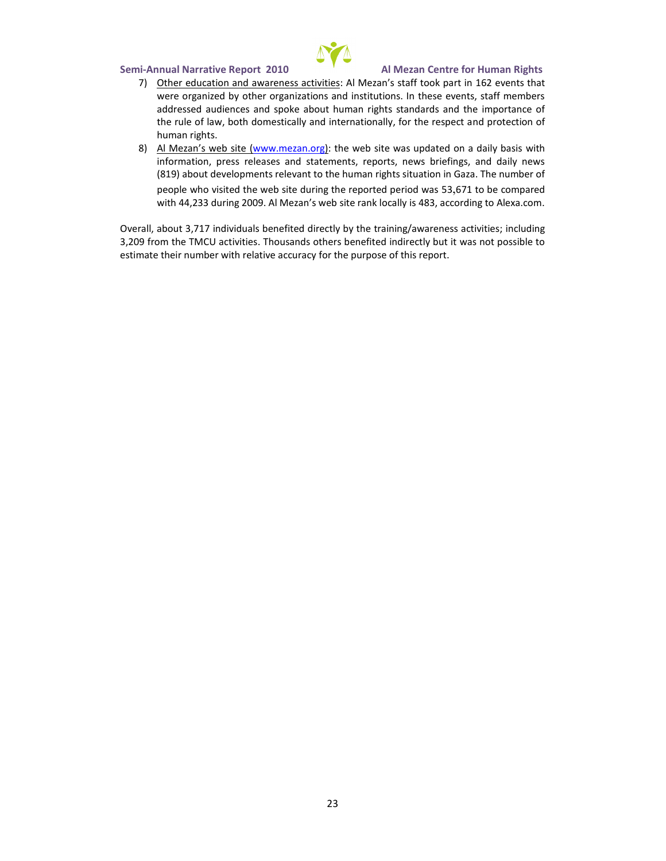SemAinnual Narrativ2e0 ROeport Al Mezan Centre for Human Rights 7) Other education and awa $A$ eln $M$ es  $z$ aancsiv $s$ ittaief $s$  160 $2$ evke $\rho$ natist tihnat

- were organized by other organizations and institutions. In the addressed audiences and spoke about human rights standards the rule of law, both domestically and intedroparbiton catlibyn, bofr the human rights.
- 8) Al Mezan s www.wow.miez@n.tohreg web site was updatewolitohn a daily b information, press releases and statements, reports, news b (818) bout deventopmelevant to the human rights situation in Gaz people who visited the web site durin5g3,617nteorbeoporotenchapreerdiod wa with4,2833 ring 2009. Al Mezan s we4b8,8iate.croarnodkinlopotoall4yleista.com

Overall,  $\mathbf{\hat{a}}$   $\hbar$  to  $\hbar$ ntdivid bu eachse fiddence ctly by the training/awarene huedsisn op ctivities 3,209 from the TM.C Uhacisia into solon the sindered indirectly but it was not pos estimate their number with orrelation promotion accomputation report.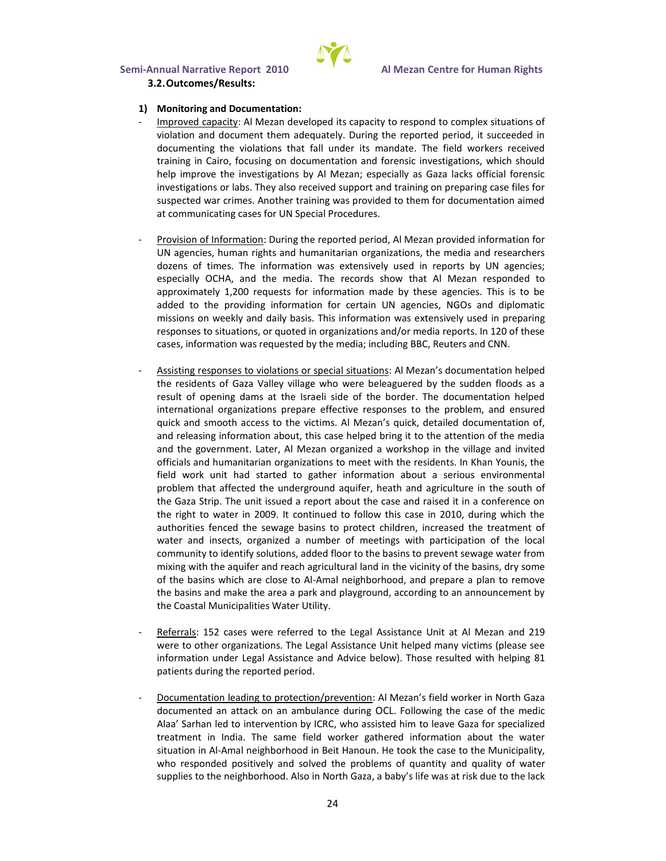

#### **3.2.Outcomes/Results:**

#### **1) Monitoring and Documentation:**

- Improved capacity: Al Mezan developed its capacity to respond to complex situations of violation and document them adequately. During the reported period, it succeeded in documenting the violations that fall under its mandate. The field workers received training in Cairo, focusing on documentation and forensic investigations, which should help improve the investigations by Al Mezan; especially as Gaza lacks official forensic investigations or labs. They also received support and training on preparing case files for suspected war crimes. Another training was provided to them for documentation aimed at communicating cases for UN Special Procedures.
- Provision of Information: During the reported period, Al Mezan provided information for UN agencies, human rights and humanitarian organizations, the media and researchers dozens of times. The information was extensively used in reports by UN agencies; especially OCHA, and the media. The records show that Al Mezan responded to approximately 1,200 requests for information made by these agencies. This is to be added to the providing information for certain UN agencies, NGOs and diplomatic missions on weekly and daily basis. This information was extensively used in preparing responses to situations, or quoted in organizations and/or media reports. In 120 of these cases, information was requested by the media; including BBC, Reuters and CNN.
- Assisting responses to violations or special situations: Al Mezan's documentation helped the residents of Gaza Valley village who were beleaguered by the sudden floods as a result of opening dams at the Israeli side of the border. The documentation helped international organizations prepare effective responses to the problem, and ensured quick and smooth access to the victims. Al Mezan's quick, detailed documentation of, and releasing information about, this case helped bring it to the attention of the media and the government. Later, Al Mezan organized a workshop in the village and invited officials and humanitarian organizations to meet with the residents. In Khan Younis, the field work unit had started to gather information about a serious environmental problem that affected the underground aquifer, heath and agriculture in the south of the Gaza Strip. The unit issued a report about the case and raised it in a conference on the right to water in 2009. It continued to follow this case in 2010, during which the authorities fenced the sewage basins to protect children, increased the treatment of water and insects, organized a number of meetings with participation of the local community to identify solutions, added floor to the basins to prevent sewage water from mixing with the aquifer and reach agricultural land in the vicinity of the basins, dry some of the basins which are close to Al-Amal neighborhood, and prepare a plan to remove the basins and make the area a park and playground, according to an announcement by the Coastal Municipalities Water Utility.
- Referrals: 152 cases were referred to the Legal Assistance Unit at Al Mezan and 219 were to other organizations. The Legal Assistance Unit helped many victims (please see information under Legal Assistance and Advice below). Those resulted with helping 81 patients during the reported period.
- Documentation leading to protection/prevention: Al Mezan's field worker in North Gaza documented an attack on an ambulance during OCL. Following the case of the medic Alaa' Sarhan led to intervention by ICRC, who assisted him to leave Gaza for specialized treatment in India. The same field worker gathered information about the water situation in Al-Amal neighborhood in Beit Hanoun. He took the case to the Municipality, who responded positively and solved the problems of quantity and quality of water supplies to the neighborhood. Also in North Gaza, a baby's life was at risk due to the lack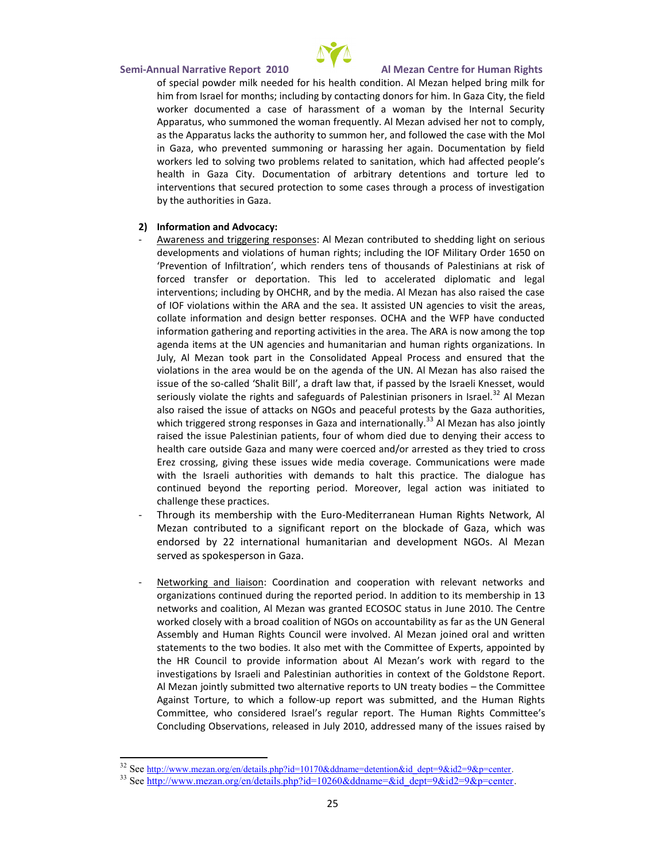SemAinnual Narrativ2e0 ROeport Al Mezan Centre for Human Rights of special powder milk needed for his health condition. Al Me him from Israel for months; incolnunching of obry hoionnthenct Gragz ad City, the worker documented a case of harassment of a woman by the Internal Security Apparatus, who summoned the woman frequently. Al Mezan adv as the Apparatus lacks the authoritow bood stolen mote sehew ithan held of Milol I in Gaza, who prevented summoning or harassing her again. workers led to solving two problems related to sanitation, whi health in Ga $\bar{x}$  and  $\bar{c}$  and  $\bar{c}$  attion of arbitrary to dretue netibends taond interventions that secured protection to some cases through  $\varepsilon$ by the authorities in Gaza.

- 2) Information and Advocacy:
- Awareness and triggering Mesan contributed to shedding light developments wiolations of humanthieghtOsF, MidituadriyngOrder 1650 o Prevention of Infiltration, which renders tens of thousands forced transfer or deportation. This led to accelerated d interventmions ding by OHCHR, and by the media. Al Mezan has of IOF violationsA RwA thaim dthine bet saesas is ted UN agencies, to visit the area s, the area s, and are s, collate information and design better responses. OCHA and t informatitoh ne rojnagand reporting act Thioties  $\mathbb R$  Anish peo awrea. The top in the top in the  $\mathbb R$ agenda items at the UN agencies and humanitarian and humar July, Al Mezan took part in the Consolidated Appeal Proces violatione  $arctan$  would be on the agenda of the UN. Al Mezan  $\vdash$ issue of -chaeles of Shalit Bill , a draft law that, if passed by the seriously violate the rights and safeguards  $36$ Al PMe becationian prisoners also raised the issue of and the approximation of the Saza authorities, which triggered strong responses in  $3^3$ AGla Mae $z$ aand hia seanhsaotioponianltly. raised the issue Palestoinuirano fpwentinemmt solied due to codesen  $\psi$  ong their health care outside Gaza and many weare deboetriceed taond to bssarres Erez crossing, giving threesdeiaiscscuveesCaugmiedmeunications were made with the Israeli authorities with demands to halt this pract continued beyond the re**Moorteover, erliegal action was initiate** challenge these practices.
- Through its membership M width the the energy Human Rights Network. Mezan contributed to a significant report on with se blockade endorsed by 22 international humanitarian and development served as spokesperson in Gaza.
- Networking and Cobiad is meantion and cooperation with relevant ne organizations continued during the reopoi**tse o**ne pheoros.hipp iandolôtio networks and coalition, Al Mezan was grand telle Censine Status worked closely with a broad coalition of NGOs on accountability Assembly and Human Rights Council wreered orreabland. Writt Meenzan statements to the two bodies. It also met with the Committee the HR Council to provide information about Al Mezan s wo investigations by Israeli and Palestinihaen **Guidstronie**s Reportentex Al Mezan jointly submitted two alternative the poot in to the at treaty Against Torture, to wulpich epaonftolw aws submitted, and the Humar Committee, who considered Israel usmraeRigounhatGommenpiontnete The H Concluding Obsreen e antisie on seno thank did a sed many of the issues rai

 $3^2$ Sebettp://www.mezan.org/en/details.php?id=10170&ddname=detention&id\_dept:

<sup>33</sup>Sehttp://www.mezan.org/en/details.php?id=10260&ddname=&id\_dept=9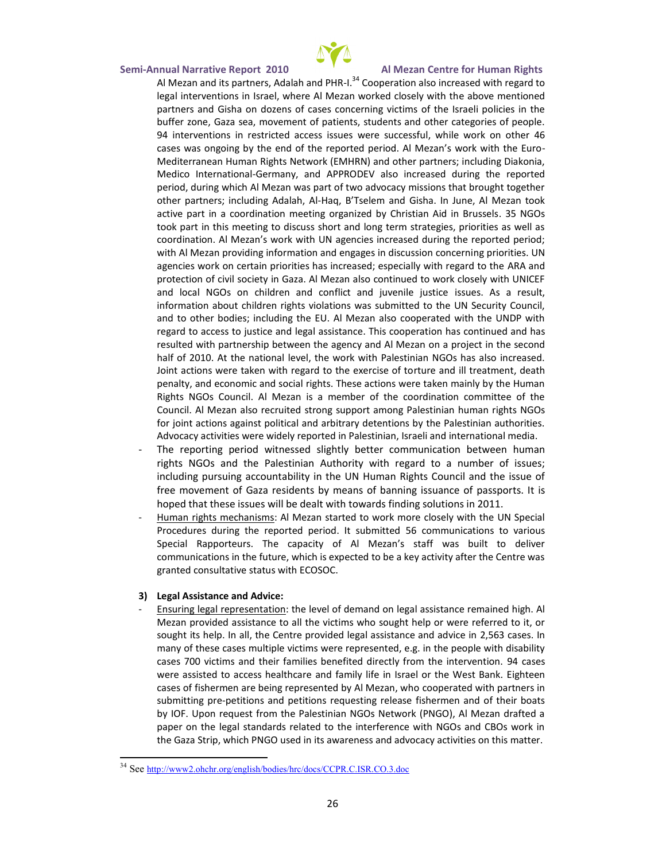SemAinnual Narrativ2e0 ROeport Al Mezan Centre for Human Rights Al Mezan and its partner $\textbf{t}^{3,4}$ CAodoapl $\textbf{a}$  ha $\text{a}$ imoh PaHHsPo increased with reg legal interventions in Israel, where Al Mezobaon worken book bedely with the gall interventions in Israel, where partners and Gisha on dozens of cases concerning victims of buffer zone, Gaza sea, movement of patients, students and ot  $94$ interventionr $s$ stricted acoweesrse issuscucess $s$ isitel, worwkh on 460 ther cases was ongoing by the end of the reported period. Al Mez Mediterranean Human Rights Network (EMHRN) and other partr Medico Inter-Getrimonaly, and APPRODEV also repoerased during period, during which Al Mezan was part of two advocacy missions other partners; inclueHaq, ABdaTsaneh, email and Gisha. In June, Al M active part in a coordination meeting organized by GOsristian took part in this meeting to discuss short and long term strat coordination. Al Mezan s work with UN agencies increased du with Al Mezan providing information and enganage sithe dislows sior agencies work on certain priorities has increasedindespecially protection of civil society in Gaza. Al Mezan also continued to and local NGOs on children and confisiscote and A siuveermelseulity sti information about children rights violations was submitted to and to other bodies; including the EU. Al Mezan also coopera regard to access to justice and legaolnahsasistaomoterhualeshdisancolopera resueldwith artnership between the ag**en**cy **anod exhaust end a** pand half of 2010. At the national level, the work with Palestinian Joint actions were taken with regratruchretoantMoleikelxtedneecantshone eonoft, to penaltand economic and social rights. These actions were take Rights NGOs Council. Al Mezan is a member of the coordination Councill. Mezan also recruited stronginsiuapport amoning hPt albustos for joint actions against political and arbitrary detentions by Advocacy activities were widely reported in Palestinian, Israel

- The reporting period witnessemdm ushigchattliyon bettelew econ human rights NGOs and the Palestinian Authority with regard to including pursuing accountability in the UN Human Rights free movement of Gaza residents by means tosf. Baning issuance of  $\sigma$ hoped that these issues will be dealt with towards finding s
- Human rights mecAl al Mesznas started to work more closely with the UN Special Special Special Special Special Special Special Special Special Special Special Special Special Special Special Special Special Special Special Procedures during the reported 566e pime chiumiticatiion in stite od various Spead Rapporteurs. The capacity of Al Mezan s staff was communications in the future, which is expected to be a key ac granted consultative status with ECOSOC.
- 3) Legal Assistance and Advice:
- <u>Ensuring legalatie</u>opnthe elmetvel of demand on legal assistance rem Mezan provided assistance to all the victims who sought help sought its help. In all, the Centre provide 215 663cassles as slimstance and advice in 2,563cass. In 2,563case many of ethoeases multiple victims were represented, e.g. in the cases 700 victims and their families benefite all a detaily from the intervention. were assisted to accærs**s' h**æma**ltyhchare and in Italy Band Band Band** K. cases of fishermen are being repre**sented ablyed Al with the zpaan, tnwe-hros** in sub mittpinggoe titsionand petriotiopunes sting fries lhe oensme eno fanhde ir boats by IQUFp.on request from the Palestinian NGOs Network (PNGO) p $\phi$  paper on the legal standards related to the interference with  $\Box$ the Gaza Strip, which PNGO used in its awareness and advoca

<sup>34</sup>See[http://www2.ohchr.org/english/bodies/hr](http://www2.ohchr.org/english/bodies/hrc/docs/CCPR.C.ISR.CO.3.doc)c/docs/CCPR.C.ISR.CO.3.doc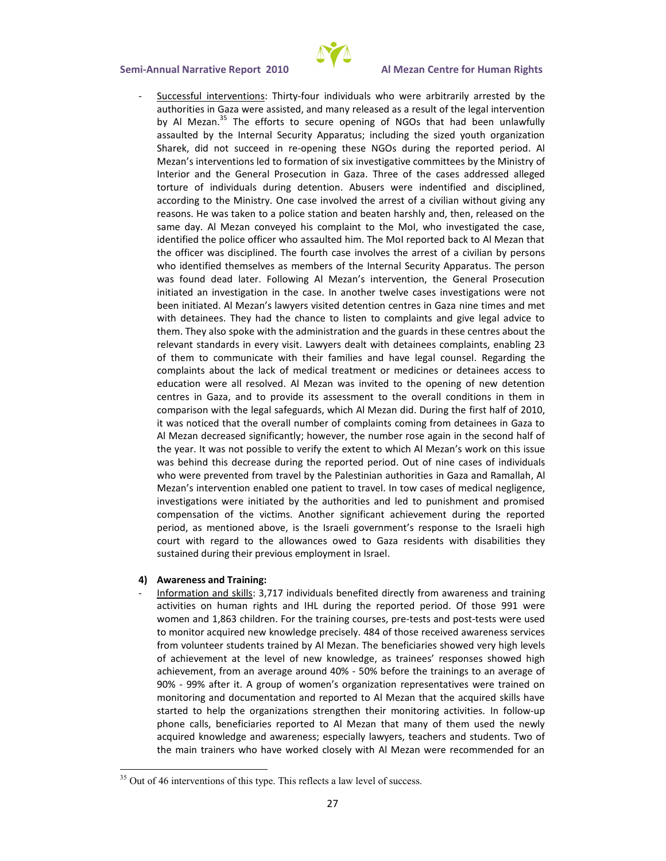

Successful interventions: Thirty-four individuals who were arbitrarily arrested by the authorities in Gaza were assisted, and many released as a result of the legal intervention by Al Mezan.<sup>35</sup> The efforts to secure opening of NGOs that had been unlawfully assaulted by the Internal Security Apparatus; including the sized youth organization Sharek, did not succeed in re-opening these NGOs during the reported period. Al Mezan's interventions led to formation of six investigative committees by the Ministry of Interior and the General Prosecution in Gaza. Three of the cases addressed alleged torture of individuals during detention. Abusers were indentified and disciplined, according to the Ministry. One case involved the arrest of a civilian without giving any reasons. He was taken to a police station and beaten harshly and, then, released on the same day. Al Mezan conveyed his complaint to the MoI, who investigated the case, identified the police officer who assaulted him. The MoI reported back to Al Mezan that the officer was disciplined. The fourth case involves the arrest of a civilian by persons who identified themselves as members of the Internal Security Apparatus. The person was found dead later. Following Al Mezan's intervention, the General Prosecution initiated an investigation in the case. In another twelve cases investigations were not been initiated. Al Mezan's lawyers visited detention centres in Gaza nine times and met with detainees. They had the chance to listen to complaints and give legal advice to them. They also spoke with the administration and the guards in these centres about the relevant standards in every visit. Lawyers dealt with detainees complaints, enabling 23 of them to communicate with their families and have legal counsel. Regarding the complaints about the lack of medical treatment or medicines or detainees access to education were all resolved. Al Mezan was invited to the opening of new detention centres in Gaza, and to provide its assessment to the overall conditions in them in comparison with the legal safeguards, which Al Mezan did. During the first half of 2010, it was noticed that the overall number of complaints coming from detainees in Gaza to Al Mezan decreased significantly; however, the number rose again in the second half of the year. It was not possible to verify the extent to which Al Mezan's work on this issue was behind this decrease during the reported period. Out of nine cases of individuals who were prevented from travel by the Palestinian authorities in Gaza and Ramallah, Al Mezan's intervention enabled one patient to travel. In tow cases of medical negligence, investigations were initiated by the authorities and led to punishment and promised compensation of the victims. Another significant achievement during the reported period, as mentioned above, is the Israeli government's response to the Israeli high court with regard to the allowances owed to Gaza residents with disabilities they sustained during their previous employment in Israel.

#### **4) Awareness and Training:**

- Information and skills: 3,717 individuals benefited directly from awareness and training activities on human rights and IHL during the reported period. Of those 991 were women and 1,863 children. For the training courses, pre-tests and post-tests were used to monitor acquired new knowledge precisely. 484 of those received awareness services from volunteer students trained by Al Mezan. The beneficiaries showed very high levels of achievement at the level of new knowledge, as trainees' responses showed high achievement, from an average around 40% - 50% before the trainings to an average of 90% - 99% after it. A group of women's organization representatives were trained on monitoring and documentation and reported to Al Mezan that the acquired skills have started to help the organizations strengthen their monitoring activities. In follow-up phone calls, beneficiaries reported to Al Mezan that many of them used the newly acquired knowledge and awareness; especially lawyers, teachers and students. Two of the main trainers who have worked closely with Al Mezan were recommended for an

 $35$  Out of 46 interventions of this type. This reflects a law level of success.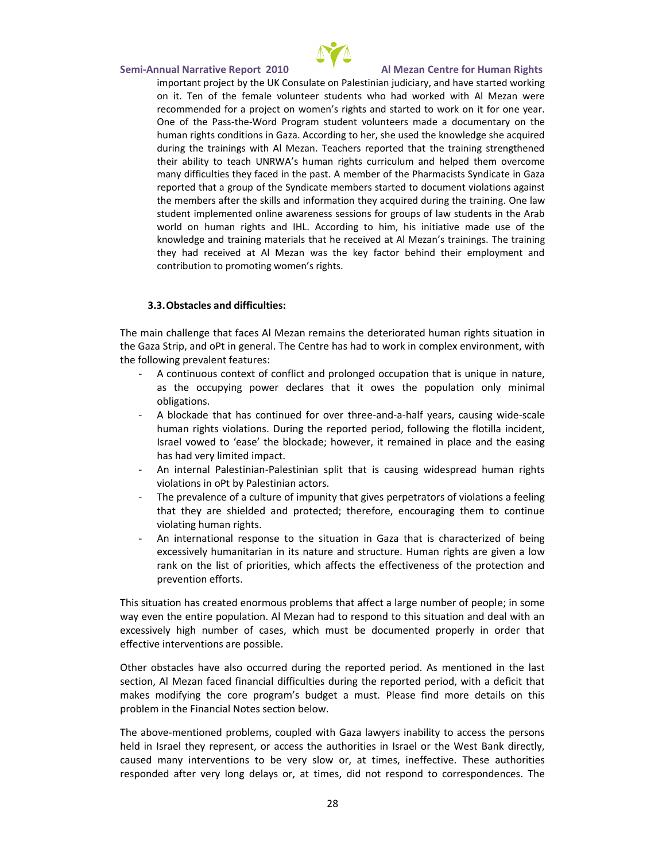

important project by the UK Consulate on Palestinian judiciary, and have started working on it. Ten of the female volunteer students who had worked with Al Mezan were recommended for a project on women's rights and started to work on it for one year. One of the Pass-the-Word Program student volunteers made a documentary on the human rights conditions in Gaza. According to her, she used the knowledge she acquired during the trainings with Al Mezan. Teachers reported that the training strengthened their ability to teach UNRWA's human rights curriculum and helped them overcome many difficulties they faced in the past. A member of the Pharmacists Syndicate in Gaza reported that a group of the Syndicate members started to document violations against the members after the skills and information they acquired during the training. One law student implemented online awareness sessions for groups of law students in the Arab world on human rights and IHL. According to him, his initiative made use of the knowledge and training materials that he received at Al Mezan's trainings. The training they had received at Al Mezan was the key factor behind their employment and contribution to promoting women's rights.

### **3.3.Obstacles and difficulties:**

The main challenge that faces Al Mezan remains the deteriorated human rights situation in the Gaza Strip, and oPt in general. The Centre has had to work in complex environment, with the following prevalent features:

- A continuous context of conflict and prolonged occupation that is unique in nature, as the occupying power declares that it owes the population only minimal obligations.
- A blockade that has continued for over three-and-a-half years, causing wide-scale human rights violations. During the reported period, following the flotilla incident, Israel vowed to 'ease' the blockade; however, it remained in place and the easing has had very limited impact.
- An internal Palestinian-Palestinian split that is causing widespread human rights violations in oPt by Palestinian actors.
- The prevalence of a culture of impunity that gives perpetrators of violations a feeling that they are shielded and protected; therefore, encouraging them to continue violating human rights.
- An international response to the situation in Gaza that is characterized of being excessively humanitarian in its nature and structure. Human rights are given a low rank on the list of priorities, which affects the effectiveness of the protection and prevention efforts.

This situation has created enormous problems that affect a large number of people; in some way even the entire population. Al Mezan had to respond to this situation and deal with an excessively high number of cases, which must be documented properly in order that effective interventions are possible.

Other obstacles have also occurred during the reported period. As mentioned in the last section, Al Mezan faced financial difficulties during the reported period, with a deficit that makes modifying the core program's budget a must. Please find more details on this problem in the Financial Notes section below.

The above-mentioned problems, coupled with Gaza lawyers inability to access the persons held in Israel they represent, or access the authorities in Israel or the West Bank directly, caused many interventions to be very slow or, at times, ineffective. These authorities responded after very long delays or, at times, did not respond to correspondences. The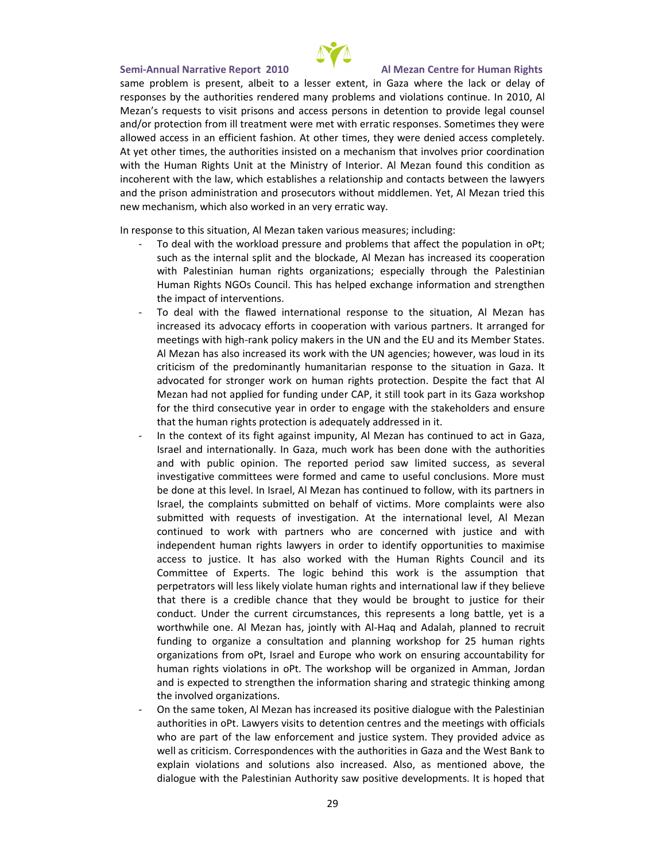same problem is present, albeit to a lesser extent, in Gaza where the lack or delay of responses by the authorities rendered many problems and violations continue. In 2010, Al Mezan's requests to visit prisons and access persons in detention to provide legal counsel and/or protection from ill treatment were met with erratic responses. Sometimes they were allowed access in an efficient fashion. At other times, they were denied access completely. At yet other times, the authorities insisted on a mechanism that involves prior coordination with the Human Rights Unit at the Ministry of Interior. Al Mezan found this condition as incoherent with the law, which establishes a relationship and contacts between the lawyers and the prison administration and prosecutors without middlemen. Yet, Al Mezan tried this new mechanism, which also worked in an very erratic way.

In response to this situation, Al Mezan taken various measures; including:

- To deal with the workload pressure and problems that affect the population in oPt; such as the internal split and the blockade, Al Mezan has increased its cooperation with Palestinian human rights organizations; especially through the Palestinian Human Rights NGOs Council. This has helped exchange information and strengthen the impact of interventions.
- To deal with the flawed international response to the situation, Al Mezan has increased its advocacy efforts in cooperation with various partners. It arranged for meetings with high-rank policy makers in the UN and the EU and its Member States. Al Mezan has also increased its work with the UN agencies; however, was loud in its criticism of the predominantly humanitarian response to the situation in Gaza. It advocated for stronger work on human rights protection. Despite the fact that Al Mezan had not applied for funding under CAP, it still took part in its Gaza workshop for the third consecutive year in order to engage with the stakeholders and ensure that the human rights protection is adequately addressed in it.
- In the context of its fight against impunity, Al Mezan has continued to act in Gaza, Israel and internationally. In Gaza, much work has been done with the authorities and with public opinion. The reported period saw limited success, as several investigative committees were formed and came to useful conclusions. More must be done at this level. In Israel, Al Mezan has continued to follow, with its partners in Israel, the complaints submitted on behalf of victims. More complaints were also submitted with requests of investigation. At the international level, Al Mezan continued to work with partners who are concerned with justice and with independent human rights lawyers in order to identify opportunities to maximise access to justice. It has also worked with the Human Rights Council and its Committee of Experts. The logic behind this work is the assumption that perpetrators will less likely violate human rights and international law if they believe that there is a credible chance that they would be brought to justice for their conduct. Under the current circumstances, this represents a long battle, yet is a worthwhile one. Al Mezan has, jointly with Al-Haq and Adalah, planned to recruit funding to organize a consultation and planning workshop for 25 human rights organizations from oPt, Israel and Europe who work on ensuring accountability for human rights violations in oPt. The workshop will be organized in Amman, Jordan and is expected to strengthen the information sharing and strategic thinking among the involved organizations.
- On the same token, Al Mezan has increased its positive dialogue with the Palestinian authorities in oPt. Lawyers visits to detention centres and the meetings with officials who are part of the law enforcement and justice system. They provided advice as well as criticism. Correspondences with the authorities in Gaza and the West Bank to explain violations and solutions also increased. Also, as mentioned above, the dialogue with the Palestinian Authority saw positive developments. It is hoped that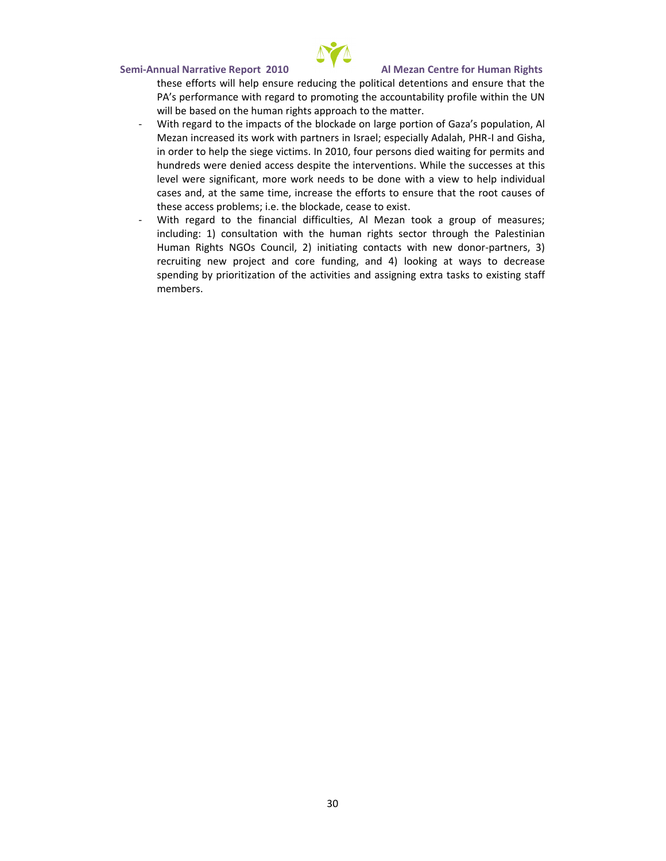

these efforts will help ensure reducing the political detentions and ensure that the PA's performance with regard to promoting the accountability profile within the UN will be based on the human rights approach to the matter.

- With regard to the impacts of the blockade on large portion of Gaza's population, Al Mezan increased its work with partners in Israel; especially Adalah, PHR-I and Gisha, in order to help the siege victims. In 2010, four persons died waiting for permits and hundreds were denied access despite the interventions. While the successes at this level were significant, more work needs to be done with a view to help individual cases and, at the same time, increase the efforts to ensure that the root causes of these access problems; i.e. the blockade, cease to exist.
- With regard to the financial difficulties, Al Mezan took a group of measures; including: 1) consultation with the human rights sector through the Palestinian Human Rights NGOs Council, 2) initiating contacts with new donor-partners, 3) recruiting new project and core funding, and 4) looking at ways to decrease spending by prioritization of the activities and assigning extra tasks to existing staff members.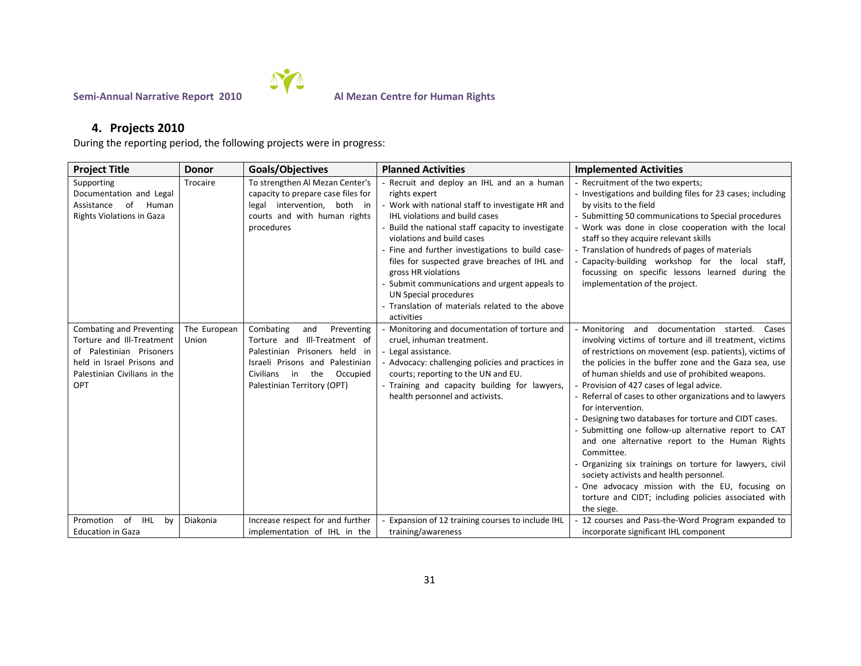

# **4. Projects 2010**

During the reporting period, the following projects were in progress:

| <b>Project Title</b>                                                                                                                                   | <b>Donor</b>          | Goals/Objectives                                                                                                                                                                                        | <b>Planned Activities</b>                                                                                                                                                                                                                                                                                                                                                                                                                                                                                           | <b>Implemented Activities</b>                                                                                                                                                                                                                                                                                                                                                                                                                                                                                                                                                                                                                                                                                                                                                                                                    |
|--------------------------------------------------------------------------------------------------------------------------------------------------------|-----------------------|---------------------------------------------------------------------------------------------------------------------------------------------------------------------------------------------------------|---------------------------------------------------------------------------------------------------------------------------------------------------------------------------------------------------------------------------------------------------------------------------------------------------------------------------------------------------------------------------------------------------------------------------------------------------------------------------------------------------------------------|----------------------------------------------------------------------------------------------------------------------------------------------------------------------------------------------------------------------------------------------------------------------------------------------------------------------------------------------------------------------------------------------------------------------------------------------------------------------------------------------------------------------------------------------------------------------------------------------------------------------------------------------------------------------------------------------------------------------------------------------------------------------------------------------------------------------------------|
| Supporting<br>Documentation and Legal<br>Assistance<br>of<br>Human<br><b>Rights Violations in Gaza</b>                                                 | Trocaire              | To strengthen Al Mezan Center's<br>capacity to prepare case files for<br>legal intervention, both in<br>courts and with human rights<br>procedures                                                      | - Recruit and deploy an IHL and an a human<br>rights expert<br>- Work with national staff to investigate HR and<br><b>IHL violations and build cases</b><br>- Build the national staff capacity to investigate<br>violations and build cases<br>- Fine and further investigations to build case-<br>files for suspected grave breaches of IHL and<br>gross HR violations<br>- Submit communications and urgent appeals to<br>UN Special procedures<br>- Translation of materials related to the above<br>activities | - Recruitment of the two experts;<br>- Investigations and building files for 23 cases; including<br>by visits to the field<br>- Submitting 50 communications to Special procedures<br>- Work was done in close cooperation with the local<br>staff so they acquire relevant skills<br>- Translation of hundreds of pages of materials<br>- Capacity-building workshop for the local staff,<br>focussing on specific lessons learned during the<br>implementation of the project.                                                                                                                                                                                                                                                                                                                                                 |
| Combating and Preventing<br>Torture and III-Treatment<br>of Palestinian Prisoners<br>held in Israel Prisons and<br>Palestinian Civilians in the<br>OPT | The European<br>Union | Combating<br>and<br>Preventing<br>Torture and III-Treatment of<br>Palestinian Prisoners held in<br>Israeli Prisons and Palestinian<br>Civilians<br>the<br>Occupied<br>in<br>Palestinian Territory (OPT) | Monitoring and documentation of torture and<br>cruel, inhuman treatment.<br>- Legal assistance.<br>Advocacy: challenging policies and practices in<br>courts; reporting to the UN and EU.<br>- Training and capacity building for lawyers,<br>health personnel and activists.                                                                                                                                                                                                                                       | - Monitoring and documentation started.<br>Cases<br>involving victims of torture and ill treatment, victims<br>of restrictions on movement (esp. patients), victims of<br>the policies in the buffer zone and the Gaza sea, use<br>of human shields and use of prohibited weapons.<br>Provision of 427 cases of legal advice.<br>- Referral of cases to other organizations and to lawyers<br>for intervention.<br>- Designing two databases for torture and CIDT cases.<br>- Submitting one follow-up alternative report to CAT<br>and one alternative report to the Human Rights<br>Committee.<br>- Organizing six trainings on torture for lawyers, civil<br>society activists and health personnel.<br>- One advocacy mission with the EU, focusing on<br>torture and CIDT; including policies associated with<br>the siege. |
| of<br>IHL<br>Promotion<br>bv<br><b>Education in Gaza</b>                                                                                               | Diakonia              | Increase respect for and further<br>implementation of IHL in the                                                                                                                                        | - Expansion of 12 training courses to include IHL<br>training/awareness                                                                                                                                                                                                                                                                                                                                                                                                                                             | 12 courses and Pass-the-Word Program expanded to<br>incorporate significant IHL component                                                                                                                                                                                                                                                                                                                                                                                                                                                                                                                                                                                                                                                                                                                                        |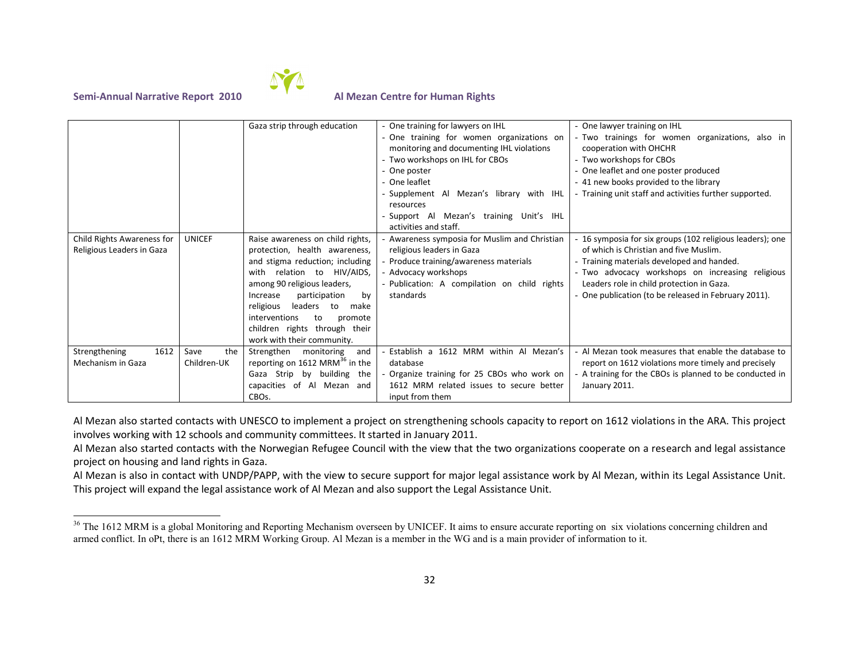

|                                                         |                            | Gaza strip through education                                                                                                                                                                                                                                                                                                                   | - One training for lawyers on IHL<br>- One training for women organizations on<br>monitoring and documenting IHL violations<br>- Two workshops on IHL for CBOs<br>- One poster<br>- One leaflet<br>- Supplement Al Mezan's library with IHL<br>resources<br>- Support Al Mezan's training Unit's IHL | - One lawyer training on IHL<br>- Two trainings for women organizations, also in<br>cooperation with OHCHR<br>- Two workshops for CBOs<br>- One leaflet and one poster produced<br>- 41 new books provided to the library<br>- Training unit staff and activities further supported.                       |
|---------------------------------------------------------|----------------------------|------------------------------------------------------------------------------------------------------------------------------------------------------------------------------------------------------------------------------------------------------------------------------------------------------------------------------------------------|------------------------------------------------------------------------------------------------------------------------------------------------------------------------------------------------------------------------------------------------------------------------------------------------------|------------------------------------------------------------------------------------------------------------------------------------------------------------------------------------------------------------------------------------------------------------------------------------------------------------|
| Child Rights Awareness for<br>Religious Leaders in Gaza | <b>UNICEF</b>              | Raise awareness on child rights,<br>protection, health awareness,<br>and stigma reduction; including<br>HIV/AIDS,<br>with relation to<br>among 90 religious leaders,<br>participation<br>Increase<br>by<br>leaders<br>religious<br>to<br>make<br>interventions<br>to<br>promote<br>children rights through their<br>work with their community. | activities and staff.<br>- Awareness symposia for Muslim and Christian<br>religious leaders in Gaza<br>- Produce training/awareness materials<br>- Advocacy workshops<br>- Publication: A compilation on child rights<br>standards                                                                   | - 16 symposia for six groups (102 religious leaders); one<br>of which is Christian and five Muslim.<br>- Training materials developed and handed.<br>- Two advocacy workshops on increasing religious<br>Leaders role in child protection in Gaza.<br>- One publication (to be released in February 2011). |
| 1612<br>Strengthening<br>Mechanism in Gaza              | the<br>Save<br>Children-UK | Strengthen<br>monitoring<br>and<br>reporting on 1612 MRM <sup>36</sup> in the<br>Gaza Strip by building the<br>capacities of Al Mezan and<br>CBO <sub>S</sub> .                                                                                                                                                                                | Establish a 1612 MRM within Al Mezan's<br>database<br>Organize training for 25 CBOs who work on<br>1612 MRM related issues to secure better<br>input from them                                                                                                                                       | Al Mezan took measures that enable the database to<br>report on 1612 violations more timely and precisely<br>- A training for the CBOs is planned to be conducted in<br>January 2011.                                                                                                                      |

Al Mezan also started contacts with UNESCO to implement a project on strengthening schools capacity to report on 1612 violations in the ARA. This project involves working with 12 schools and community committees. It started in January 2011.

Al Mezan also started contacts with the Norwegian Refugee Council with the view that the two organizations cooperate on a research and legal assistance project on housing and land rights in Gaza.

Al Mezan is also in contact with UNDP/PAPP, with the view to secure support for major legal assistance work by Al Mezan, within its Legal Assistance Unit. This project will expand the legal assistance work of Al Mezan and also support the Legal Assistance Unit.

<sup>&</sup>lt;sup>36</sup> The 1612 MRM is a global Monitoring and Reporting Mechanism overseen by UNICEF. It aims to ensure accurate reporting on six violations concerning children and armed conflict. In oPt, there is an 1612 MRM Working Group. Al Mezan is a member in the WG and is a main provider of information to it.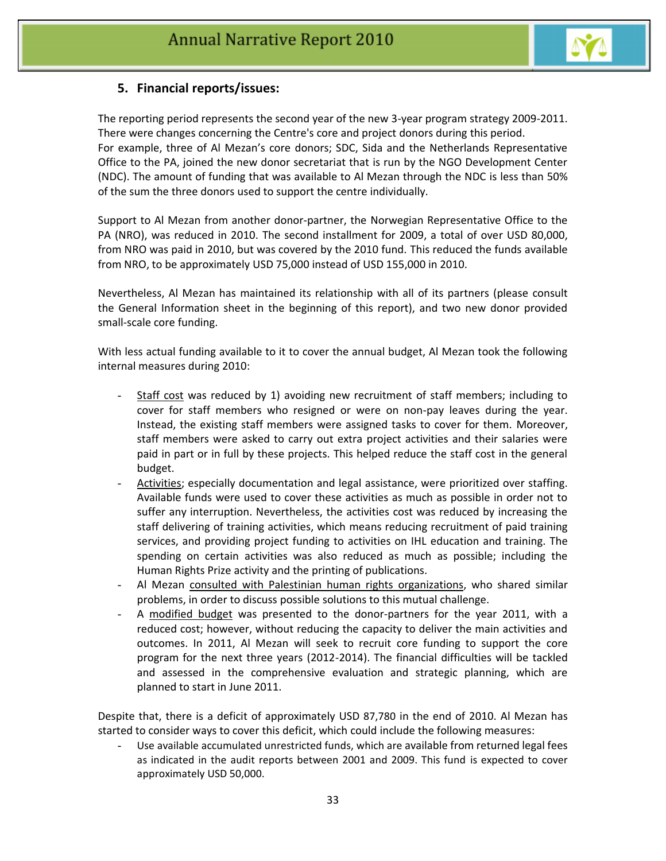

# **5. Financial reports/issues:**

The reporting period represents the second year of the new 3-year program strategy 2009-2011. There were changes concerning the Centre's core and project donors during this period. For example, three of Al Mezan's core donors; SDC, Sida and the Netherlands Representative Office to the PA, joined the new donor secretariat that is run by the NGO Development Center (NDC). The amount of funding that was available to Al Mezan through the NDC is less than 50% of the sum the three donors used to support the centre individually.

Support to Al Mezan from another donor-partner, the Norwegian Representative Office to the PA (NRO), was reduced in 2010. The second installment for 2009, a total of over USD 80,000, from NRO was paid in 2010, but was covered by the 2010 fund. This reduced the funds available from NRO, to be approximately USD 75,000 instead of USD 155,000 in 2010.

Nevertheless, Al Mezan has maintained its relationship with all of its partners (please consult the General Information sheet in the beginning of this report), and two new donor provided small-scale core funding.

With less actual funding available to it to cover the annual budget, Al Mezan took the following internal measures during 2010:

- Staff cost was reduced by 1) avoiding new recruitment of staff members; including to cover for staff members who resigned or were on non-pay leaves during the year. Instead, the existing staff members were assigned tasks to cover for them. Moreover, staff members were asked to carry out extra project activities and their salaries were paid in part or in full by these projects. This helped reduce the staff cost in the general budget.
- Activities; especially documentation and legal assistance, were prioritized over staffing. Available funds were used to cover these activities as much as possible in order not to suffer any interruption. Nevertheless, the activities cost was reduced by increasing the staff delivering of training activities, which means reducing recruitment of paid training services, and providing project funding to activities on IHL education and training. The spending on certain activities was also reduced as much as possible; including the Human Rights Prize activity and the printing of publications.
- Al Mezan consulted with Palestinian human rights organizations, who shared similar problems, in order to discuss possible solutions to this mutual challenge.
- A modified budget was presented to the donor-partners for the year 2011, with a reduced cost; however, without reducing the capacity to deliver the main activities and outcomes. In 2011, Al Mezan will seek to recruit core funding to support the core program for the next three years (2012-2014). The financial difficulties will be tackled and assessed in the comprehensive evaluation and strategic planning, which are planned to start in June 2011.

Despite that, there is a deficit of approximately USD 87,780 in the end of 2010. Al Mezan has started to consider ways to cover this deficit, which could include the following measures:

Use available accumulated unrestricted funds, which are available from returned legal fees as indicated in the audit reports between 2001 and 2009. This fund is expected to cover approximately USD 50,000.